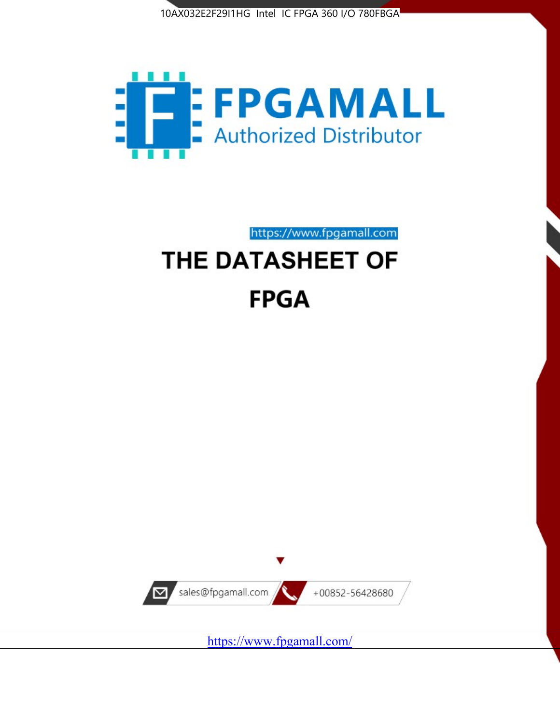



# https://www.fpgamall.com THE DATASHEET OF **FPGA**



<https://www.fpgamall.com/>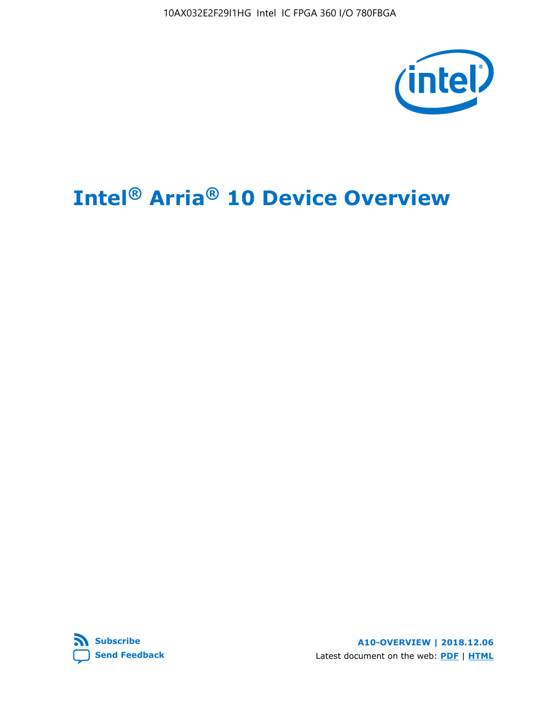10AX032E2F29I1HG Intel IC FPGA 360 I/O 780FBGA



# **Intel® Arria® 10 Device Overview**



**A10-OVERVIEW | 2018.12.06** Latest document on the web: **[PDF](https://www.intel.com/content/dam/www/programmable/us/en/pdfs/literature/hb/arria-10/a10_overview.pdf)** | **[HTML](https://www.intel.com/content/www/us/en/programmable/documentation/sam1403480274650.html)**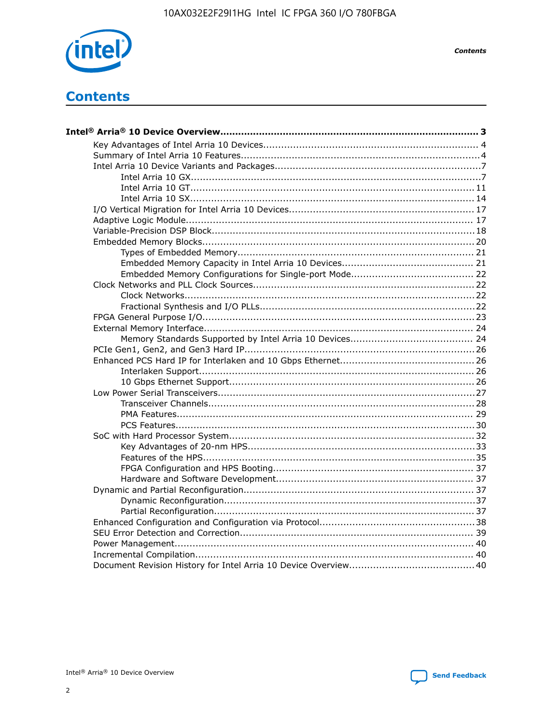

**Contents** 

# **Contents**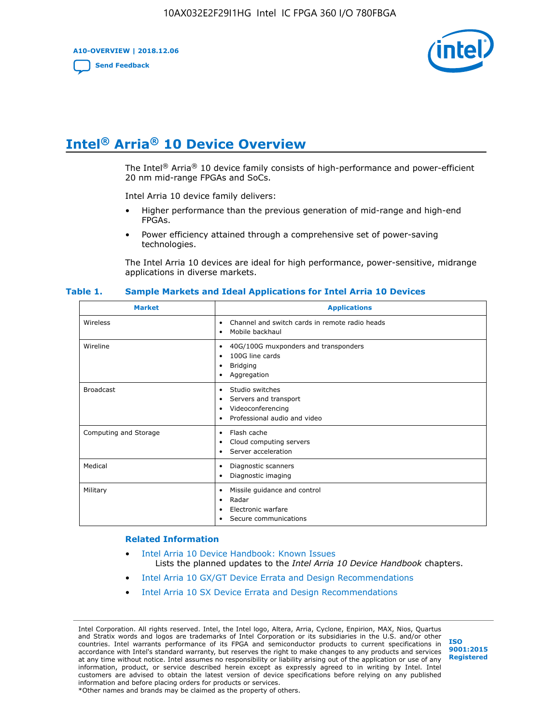**A10-OVERVIEW | 2018.12.06**

**[Send Feedback](mailto:FPGAtechdocfeedback@intel.com?subject=Feedback%20on%20Intel%20Arria%2010%20Device%20Overview%20(A10-OVERVIEW%202018.12.06)&body=We%20appreciate%20your%20feedback.%20In%20your%20comments,%20also%20specify%20the%20page%20number%20or%20paragraph.%20Thank%20you.)**



# **Intel® Arria® 10 Device Overview**

The Intel<sup>®</sup> Arria<sup>®</sup> 10 device family consists of high-performance and power-efficient 20 nm mid-range FPGAs and SoCs.

Intel Arria 10 device family delivers:

- Higher performance than the previous generation of mid-range and high-end FPGAs.
- Power efficiency attained through a comprehensive set of power-saving technologies.

The Intel Arria 10 devices are ideal for high performance, power-sensitive, midrange applications in diverse markets.

| <b>Market</b>         | <b>Applications</b>                                                                                               |
|-----------------------|-------------------------------------------------------------------------------------------------------------------|
| Wireless              | Channel and switch cards in remote radio heads<br>٠<br>Mobile backhaul<br>٠                                       |
| Wireline              | 40G/100G muxponders and transponders<br>٠<br>100G line cards<br>٠<br><b>Bridging</b><br>٠<br>Aggregation<br>٠     |
| <b>Broadcast</b>      | Studio switches<br>٠<br>Servers and transport<br>٠<br>Videoconferencing<br>٠<br>Professional audio and video<br>٠ |
| Computing and Storage | Flash cache<br>٠<br>Cloud computing servers<br>٠<br>Server acceleration<br>٠                                      |
| Medical               | Diagnostic scanners<br>٠<br>Diagnostic imaging<br>٠                                                               |
| Military              | Missile guidance and control<br>٠<br>Radar<br>٠<br>Electronic warfare<br>٠<br>Secure communications<br>٠          |

#### **Table 1. Sample Markets and Ideal Applications for Intel Arria 10 Devices**

#### **Related Information**

- [Intel Arria 10 Device Handbook: Known Issues](http://www.altera.com/support/kdb/solutions/rd07302013_646.html) Lists the planned updates to the *Intel Arria 10 Device Handbook* chapters.
- [Intel Arria 10 GX/GT Device Errata and Design Recommendations](https://www.intel.com/content/www/us/en/programmable/documentation/agz1493851706374.html#yqz1494433888646)
- [Intel Arria 10 SX Device Errata and Design Recommendations](https://www.intel.com/content/www/us/en/programmable/documentation/cru1462832385668.html#cru1462832558642)

Intel Corporation. All rights reserved. Intel, the Intel logo, Altera, Arria, Cyclone, Enpirion, MAX, Nios, Quartus and Stratix words and logos are trademarks of Intel Corporation or its subsidiaries in the U.S. and/or other countries. Intel warrants performance of its FPGA and semiconductor products to current specifications in accordance with Intel's standard warranty, but reserves the right to make changes to any products and services at any time without notice. Intel assumes no responsibility or liability arising out of the application or use of any information, product, or service described herein except as expressly agreed to in writing by Intel. Intel customers are advised to obtain the latest version of device specifications before relying on any published information and before placing orders for products or services. \*Other names and brands may be claimed as the property of others.

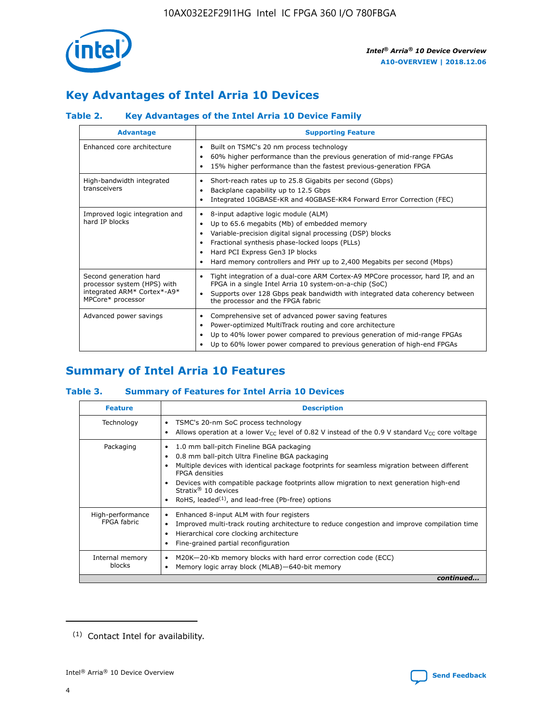

# **Key Advantages of Intel Arria 10 Devices**

# **Table 2. Key Advantages of the Intel Arria 10 Device Family**

| <b>Advantage</b>                                                                                          | <b>Supporting Feature</b>                                                                                                                                                                                                                                                                                                |
|-----------------------------------------------------------------------------------------------------------|--------------------------------------------------------------------------------------------------------------------------------------------------------------------------------------------------------------------------------------------------------------------------------------------------------------------------|
| Enhanced core architecture                                                                                | Built on TSMC's 20 nm process technology<br>٠<br>60% higher performance than the previous generation of mid-range FPGAs<br>٠<br>15% higher performance than the fastest previous-generation FPGA<br>٠                                                                                                                    |
| High-bandwidth integrated<br>transceivers                                                                 | Short-reach rates up to 25.8 Gigabits per second (Gbps)<br>٠<br>Backplane capability up to 12.5 Gbps<br>٠<br>Integrated 10GBASE-KR and 40GBASE-KR4 Forward Error Correction (FEC)<br>٠                                                                                                                                   |
| Improved logic integration and<br>hard IP blocks                                                          | 8-input adaptive logic module (ALM)<br>٠<br>Up to 65.6 megabits (Mb) of embedded memory<br>٠<br>Variable-precision digital signal processing (DSP) blocks<br>Fractional synthesis phase-locked loops (PLLs)<br>Hard PCI Express Gen3 IP blocks<br>Hard memory controllers and PHY up to 2,400 Megabits per second (Mbps) |
| Second generation hard<br>processor system (HPS) with<br>integrated ARM* Cortex*-A9*<br>MPCore* processor | Tight integration of a dual-core ARM Cortex-A9 MPCore processor, hard IP, and an<br>٠<br>FPGA in a single Intel Arria 10 system-on-a-chip (SoC)<br>Supports over 128 Gbps peak bandwidth with integrated data coherency between<br>$\bullet$<br>the processor and the FPGA fabric                                        |
| Advanced power savings                                                                                    | Comprehensive set of advanced power saving features<br>٠<br>Power-optimized MultiTrack routing and core architecture<br>٠<br>Up to 40% lower power compared to previous generation of mid-range FPGAs<br>٠<br>Up to 60% lower power compared to previous generation of high-end FPGAs<br>٠                               |

# **Summary of Intel Arria 10 Features**

## **Table 3. Summary of Features for Intel Arria 10 Devices**

| <b>Feature</b>                  | <b>Description</b>                                                                                                                                                                                                                                                                                                                                                                                           |
|---------------------------------|--------------------------------------------------------------------------------------------------------------------------------------------------------------------------------------------------------------------------------------------------------------------------------------------------------------------------------------------------------------------------------------------------------------|
| Technology                      | TSMC's 20-nm SoC process technology<br>Allows operation at a lower $V_{\text{CC}}$ level of 0.82 V instead of the 0.9 V standard $V_{\text{CC}}$ core voltage                                                                                                                                                                                                                                                |
| Packaging                       | 1.0 mm ball-pitch Fineline BGA packaging<br>٠<br>0.8 mm ball-pitch Ultra Fineline BGA packaging<br>Multiple devices with identical package footprints for seamless migration between different<br><b>FPGA</b> densities<br>Devices with compatible package footprints allow migration to next generation high-end<br>Stratix <sup>®</sup> 10 devices<br>RoHS, leaded $(1)$ , and lead-free (Pb-free) options |
| High-performance<br>FPGA fabric | Enhanced 8-input ALM with four registers<br>Improved multi-track routing architecture to reduce congestion and improve compilation time<br>Hierarchical core clocking architecture<br>Fine-grained partial reconfiguration                                                                                                                                                                                   |
| Internal memory<br>blocks       | M20K-20-Kb memory blocks with hard error correction code (ECC)<br>Memory logic array block (MLAB)-640-bit memory                                                                                                                                                                                                                                                                                             |
|                                 | continued                                                                                                                                                                                                                                                                                                                                                                                                    |



<sup>(1)</sup> Contact Intel for availability.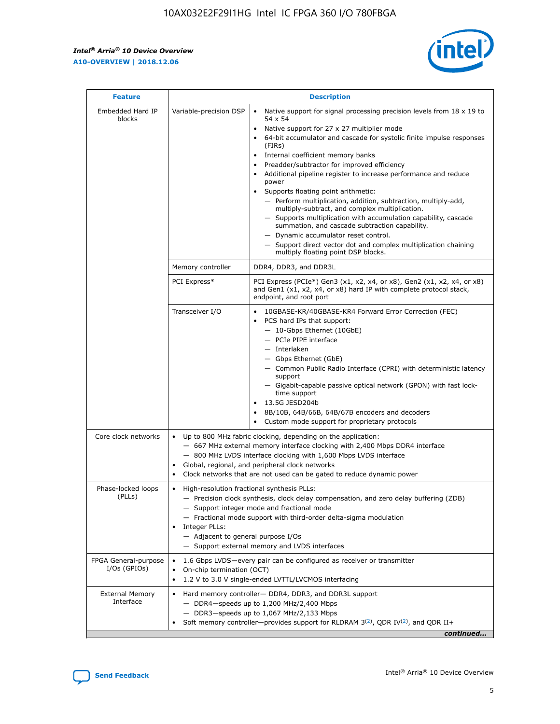$\mathsf{r}$ 



| <b>Feature</b>                         |                                                                                                                | <b>Description</b>                                                                                                                                                                                                                                                                                                                                                                                                                                                                                                                                                                                                                                                                                                                                                                                                                          |
|----------------------------------------|----------------------------------------------------------------------------------------------------------------|---------------------------------------------------------------------------------------------------------------------------------------------------------------------------------------------------------------------------------------------------------------------------------------------------------------------------------------------------------------------------------------------------------------------------------------------------------------------------------------------------------------------------------------------------------------------------------------------------------------------------------------------------------------------------------------------------------------------------------------------------------------------------------------------------------------------------------------------|
| Embedded Hard IP<br>blocks             | Variable-precision DSP                                                                                         | Native support for signal processing precision levels from $18 \times 19$ to<br>$\bullet$<br>54 x 54<br>Native support for 27 x 27 multiplier mode<br>64-bit accumulator and cascade for systolic finite impulse responses<br>(FIRS)<br>Internal coefficient memory banks<br>٠<br>Preadder/subtractor for improved efficiency<br>Additional pipeline register to increase performance and reduce<br>power<br>Supports floating point arithmetic:<br>- Perform multiplication, addition, subtraction, multiply-add,<br>multiply-subtract, and complex multiplication.<br>- Supports multiplication with accumulation capability, cascade<br>summation, and cascade subtraction capability.<br>- Dynamic accumulator reset control.<br>- Support direct vector dot and complex multiplication chaining<br>multiply floating point DSP blocks. |
|                                        | Memory controller                                                                                              | DDR4, DDR3, and DDR3L                                                                                                                                                                                                                                                                                                                                                                                                                                                                                                                                                                                                                                                                                                                                                                                                                       |
|                                        | PCI Express*                                                                                                   | PCI Express (PCIe*) Gen3 (x1, x2, x4, or x8), Gen2 (x1, x2, x4, or x8)<br>and Gen1 (x1, x2, x4, or x8) hard IP with complete protocol stack,<br>endpoint, and root port                                                                                                                                                                                                                                                                                                                                                                                                                                                                                                                                                                                                                                                                     |
|                                        | Transceiver I/O                                                                                                | 10GBASE-KR/40GBASE-KR4 Forward Error Correction (FEC)<br>PCS hard IPs that support:<br>- 10-Gbps Ethernet (10GbE)<br>- PCIe PIPE interface<br>- Interlaken<br>- Gbps Ethernet (GbE)<br>- Common Public Radio Interface (CPRI) with deterministic latency<br>support<br>- Gigabit-capable passive optical network (GPON) with fast lock-<br>time support<br>13.5G JESD204b<br>8B/10B, 64B/66B, 64B/67B encoders and decoders<br>Custom mode support for proprietary protocols                                                                                                                                                                                                                                                                                                                                                                |
| Core clock networks                    | $\bullet$                                                                                                      | Up to 800 MHz fabric clocking, depending on the application:<br>- 667 MHz external memory interface clocking with 2,400 Mbps DDR4 interface<br>- 800 MHz LVDS interface clocking with 1,600 Mbps LVDS interface<br>Global, regional, and peripheral clock networks<br>Clock networks that are not used can be gated to reduce dynamic power                                                                                                                                                                                                                                                                                                                                                                                                                                                                                                 |
| Phase-locked loops<br>(PLLs)           | High-resolution fractional synthesis PLLs:<br>$\bullet$<br>Integer PLLs:<br>- Adjacent to general purpose I/Os | - Precision clock synthesis, clock delay compensation, and zero delay buffering (ZDB)<br>- Support integer mode and fractional mode<br>- Fractional mode support with third-order delta-sigma modulation<br>- Support external memory and LVDS interfaces                                                                                                                                                                                                                                                                                                                                                                                                                                                                                                                                                                                   |
| FPGA General-purpose<br>$I/Os$ (GPIOs) | On-chip termination (OCT)<br>$\bullet$                                                                         | 1.6 Gbps LVDS-every pair can be configured as receiver or transmitter<br>1.2 V to 3.0 V single-ended LVTTL/LVCMOS interfacing                                                                                                                                                                                                                                                                                                                                                                                                                                                                                                                                                                                                                                                                                                               |
| <b>External Memory</b><br>Interface    |                                                                                                                | Hard memory controller- DDR4, DDR3, and DDR3L support<br>$-$ DDR4 $-$ speeds up to 1,200 MHz/2,400 Mbps<br>- DDR3-speeds up to 1,067 MHz/2,133 Mbps<br>Soft memory controller—provides support for RLDRAM $3^{(2)}$ , QDR IV $(2)$ , and QDR II+<br>continued                                                                                                                                                                                                                                                                                                                                                                                                                                                                                                                                                                               |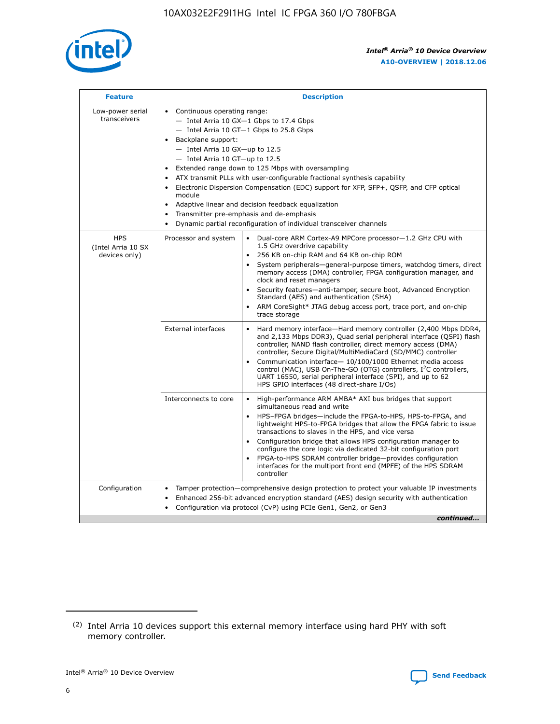

| <b>Feature</b>                                    | <b>Description</b>                                                                                                                                                                                                                                                                                                                                                                                                                                                                                                                                                                                                                                                        |
|---------------------------------------------------|---------------------------------------------------------------------------------------------------------------------------------------------------------------------------------------------------------------------------------------------------------------------------------------------------------------------------------------------------------------------------------------------------------------------------------------------------------------------------------------------------------------------------------------------------------------------------------------------------------------------------------------------------------------------------|
| Low-power serial<br>transceivers                  | • Continuous operating range:<br>- Intel Arria 10 GX-1 Gbps to 17.4 Gbps<br>$-$ Intel Arria 10 GT $-1$ Gbps to 25.8 Gbps<br>Backplane support:<br>$\bullet$<br>$-$ Intel Arria 10 GX-up to 12.5<br>$-$ Intel Arria 10 GT-up to 12.5<br>Extended range down to 125 Mbps with oversampling<br>ATX transmit PLLs with user-configurable fractional synthesis capability<br>Electronic Dispersion Compensation (EDC) support for XFP, SFP+, OSFP, and CFP optical<br>module<br>Adaptive linear and decision feedback equalization<br>$\bullet$<br>Transmitter pre-emphasis and de-emphasis<br>$\bullet$<br>Dynamic partial reconfiguration of individual transceiver channels |
| <b>HPS</b><br>(Intel Arria 10 SX<br>devices only) | Dual-core ARM Cortex-A9 MPCore processor-1.2 GHz CPU with<br>Processor and system<br>$\bullet$<br>1.5 GHz overdrive capability<br>256 KB on-chip RAM and 64 KB on-chip ROM<br>System peripherals-general-purpose timers, watchdog timers, direct<br>memory access (DMA) controller, FPGA configuration manager, and<br>clock and reset managers<br>• Security features—anti-tamper, secure boot, Advanced Encryption<br>Standard (AES) and authentication (SHA)<br>ARM CoreSight* JTAG debug access port, trace port, and on-chip<br>$\bullet$<br>trace storage                                                                                                           |
|                                                   | <b>External interfaces</b><br>Hard memory interface—Hard memory controller (2,400 Mbps DDR4,<br>and 2,133 Mbps DDR3), Quad serial peripheral interface (QSPI) flash<br>controller, NAND flash controller, direct memory access (DMA)<br>controller, Secure Digital/MultiMediaCard (SD/MMC) controller<br>Communication interface-10/100/1000 Ethernet media access<br>$\bullet$<br>control (MAC), USB On-The-GO (OTG) controllers, I <sup>2</sup> C controllers,<br>UART 16550, serial peripheral interface (SPI), and up to 62<br>HPS GPIO interfaces (48 direct-share I/Os)                                                                                             |
|                                                   | Interconnects to core<br>• High-performance ARM AMBA* AXI bus bridges that support<br>simultaneous read and write<br>HPS-FPGA bridges-include the FPGA-to-HPS, HPS-to-FPGA, and<br>$\bullet$<br>lightweight HPS-to-FPGA bridges that allow the FPGA fabric to issue<br>transactions to slaves in the HPS, and vice versa<br>Configuration bridge that allows HPS configuration manager to<br>configure the core logic via dedicated 32-bit configuration port<br>FPGA-to-HPS SDRAM controller bridge-provides configuration<br>interfaces for the multiport front end (MPFE) of the HPS SDRAM<br>controller                                                               |
| Configuration                                     | Tamper protection—comprehensive design protection to protect your valuable IP investments<br>Enhanced 256-bit advanced encryption standard (AES) design security with authentication<br>$\bullet$<br>Configuration via protocol (CvP) using PCIe Gen1, Gen2, or Gen3<br>continued                                                                                                                                                                                                                                                                                                                                                                                         |

<sup>(2)</sup> Intel Arria 10 devices support this external memory interface using hard PHY with soft memory controller.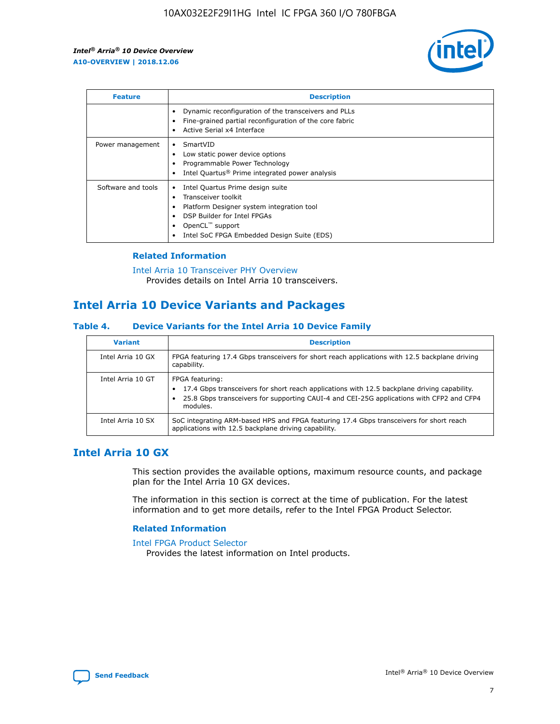

| <b>Feature</b>     | <b>Description</b>                                                                                                                                                                                               |
|--------------------|------------------------------------------------------------------------------------------------------------------------------------------------------------------------------------------------------------------|
|                    | Dynamic reconfiguration of the transceivers and PLLs<br>Fine-grained partial reconfiguration of the core fabric<br>Active Serial x4 Interface<br>$\bullet$                                                       |
| Power management   | SmartVID<br>Low static power device options<br>Programmable Power Technology<br>Intel Quartus <sup>®</sup> Prime integrated power analysis                                                                       |
| Software and tools | Intel Quartus Prime design suite<br>Transceiver toolkit<br>Platform Designer system integration tool<br>DSP Builder for Intel FPGAs<br>OpenCL <sup>™</sup> support<br>Intel SoC FPGA Embedded Design Suite (EDS) |

## **Related Information**

[Intel Arria 10 Transceiver PHY Overview](https://www.intel.com/content/www/us/en/programmable/documentation/nik1398707230472.html#nik1398706768037) Provides details on Intel Arria 10 transceivers.

# **Intel Arria 10 Device Variants and Packages**

#### **Table 4. Device Variants for the Intel Arria 10 Device Family**

| <b>Variant</b>    | <b>Description</b>                                                                                                                                                                                                     |
|-------------------|------------------------------------------------------------------------------------------------------------------------------------------------------------------------------------------------------------------------|
| Intel Arria 10 GX | FPGA featuring 17.4 Gbps transceivers for short reach applications with 12.5 backplane driving<br>capability.                                                                                                          |
| Intel Arria 10 GT | FPGA featuring:<br>17.4 Gbps transceivers for short reach applications with 12.5 backplane driving capability.<br>25.8 Gbps transceivers for supporting CAUI-4 and CEI-25G applications with CFP2 and CFP4<br>modules. |
| Intel Arria 10 SX | SoC integrating ARM-based HPS and FPGA featuring 17.4 Gbps transceivers for short reach<br>applications with 12.5 backplane driving capability.                                                                        |

# **Intel Arria 10 GX**

This section provides the available options, maximum resource counts, and package plan for the Intel Arria 10 GX devices.

The information in this section is correct at the time of publication. For the latest information and to get more details, refer to the Intel FPGA Product Selector.

#### **Related Information**

#### [Intel FPGA Product Selector](http://www.altera.com/products/selector/psg-selector.html) Provides the latest information on Intel products.

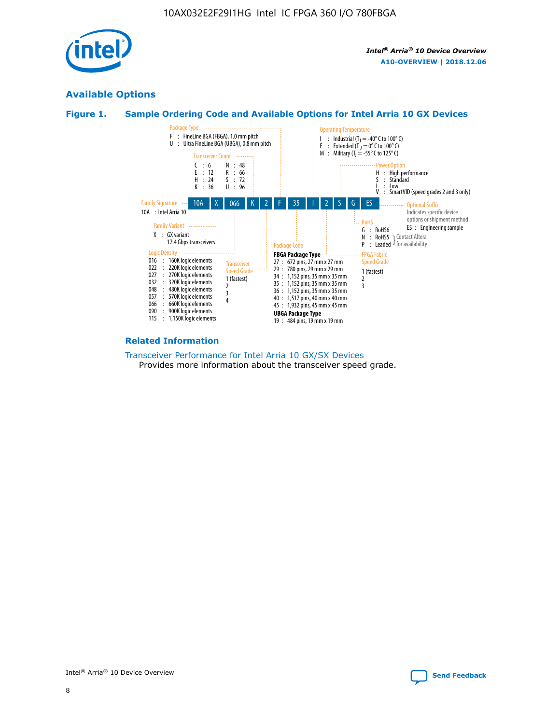

# **Available Options**





#### **Related Information**

[Transceiver Performance for Intel Arria 10 GX/SX Devices](https://www.intel.com/content/www/us/en/programmable/documentation/mcn1413182292568.html#mcn1413213965502) Provides more information about the transceiver speed grade.

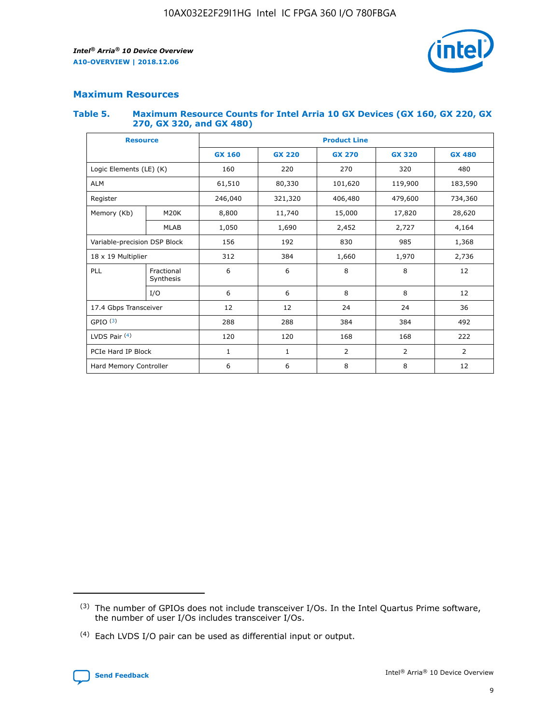

# **Maximum Resources**

#### **Table 5. Maximum Resource Counts for Intel Arria 10 GX Devices (GX 160, GX 220, GX 270, GX 320, and GX 480)**

| <b>Resource</b>         |                                                          | <b>Product Line</b> |                                                 |            |                |                |  |  |  |
|-------------------------|----------------------------------------------------------|---------------------|-------------------------------------------------|------------|----------------|----------------|--|--|--|
|                         |                                                          | <b>GX 160</b>       | <b>GX 220</b><br><b>GX 270</b><br><b>GX 320</b> |            |                | <b>GX 480</b>  |  |  |  |
| Logic Elements (LE) (K) |                                                          | 160                 | 220                                             | 270        | 320            | 480            |  |  |  |
| <b>ALM</b>              |                                                          | 61,510              | 80,330                                          | 101,620    | 119,900        | 183,590        |  |  |  |
| Register                |                                                          | 246,040             | 321,320                                         | 406,480    | 479,600        | 734,360        |  |  |  |
| Memory (Kb)             | M <sub>20</sub> K                                        | 8,800               | 11,740                                          | 15,000     | 17,820         | 28,620         |  |  |  |
| <b>MLAB</b>             |                                                          | 1,050               | 1,690                                           | 2,452      | 2,727          | 4,164          |  |  |  |
|                         | Variable-precision DSP Block<br>156<br>192<br>830<br>985 |                     |                                                 |            | 1,368          |                |  |  |  |
| 18 x 19 Multiplier      |                                                          | 312                 | 384                                             | 1,660      | 1,970          | 2,736          |  |  |  |
| PLL                     | Fractional<br>Synthesis                                  | 6                   | 6                                               | 8          | 8              | 12             |  |  |  |
|                         | I/O                                                      | 6                   | 6                                               | 8          | 8              | 12             |  |  |  |
| 17.4 Gbps Transceiver   |                                                          | 12                  | 12                                              | 24         | 24             |                |  |  |  |
| GPIO <sup>(3)</sup>     |                                                          | 288                 | 288                                             | 384<br>384 |                | 492            |  |  |  |
| LVDS Pair $(4)$         |                                                          | 120                 | 120                                             | 168        | 168            | 222            |  |  |  |
| PCIe Hard IP Block      |                                                          | 1                   | 1                                               | 2          | $\overline{2}$ | $\overline{2}$ |  |  |  |
| Hard Memory Controller  |                                                          | 6                   | 6                                               | 8          | 8              | 12             |  |  |  |

<sup>(4)</sup> Each LVDS I/O pair can be used as differential input or output.



<sup>(3)</sup> The number of GPIOs does not include transceiver I/Os. In the Intel Quartus Prime software, the number of user I/Os includes transceiver I/Os.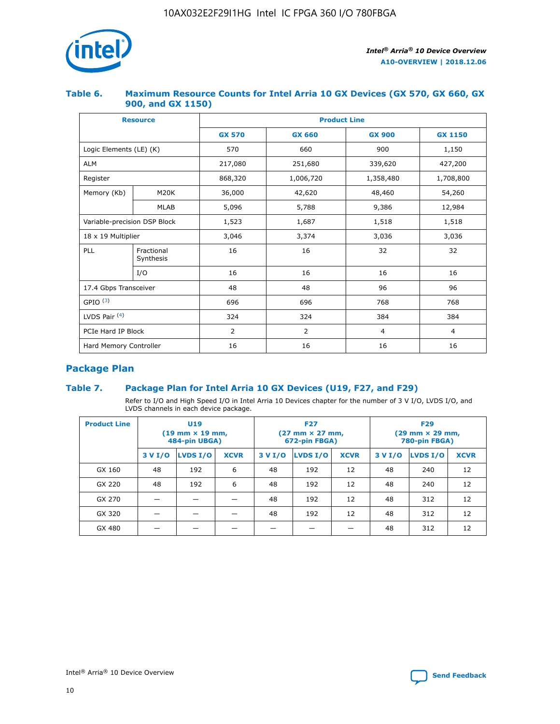

## **Table 6. Maximum Resource Counts for Intel Arria 10 GX Devices (GX 570, GX 660, GX 900, and GX 1150)**

|                              | <b>Resource</b>         | <b>Product Line</b> |                                |                |                |  |  |  |
|------------------------------|-------------------------|---------------------|--------------------------------|----------------|----------------|--|--|--|
|                              |                         | <b>GX 570</b>       | <b>GX 660</b><br><b>GX 900</b> |                | <b>GX 1150</b> |  |  |  |
| Logic Elements (LE) (K)      |                         | 570                 | 660                            | 900            | 1,150          |  |  |  |
| <b>ALM</b>                   |                         | 217,080             | 251,680                        | 339,620        | 427,200        |  |  |  |
| Register                     |                         | 868,320             | 1,006,720                      | 1,358,480      | 1,708,800      |  |  |  |
| Memory (Kb)                  | <b>M20K</b>             | 36,000              | 42,620                         | 48,460         | 54,260         |  |  |  |
|                              | <b>MLAB</b>             | 5,096               | 5,788                          | 9,386          | 12,984         |  |  |  |
| Variable-precision DSP Block |                         | 1,523               | 1,687                          | 1,518          | 1,518          |  |  |  |
| $18 \times 19$ Multiplier    |                         | 3,046               | 3,374                          | 3,036          | 3,036          |  |  |  |
| PLL                          | Fractional<br>Synthesis | 16                  | 16                             | 32             | 32             |  |  |  |
|                              | I/O                     | 16                  | 16                             | 16             | 16             |  |  |  |
| 17.4 Gbps Transceiver        |                         | 48                  | 48<br>96                       |                | 96             |  |  |  |
| GPIO <sup>(3)</sup>          |                         | 696                 | 696                            | 768            | 768            |  |  |  |
| LVDS Pair $(4)$              |                         | 324                 | 324                            |                | 384            |  |  |  |
| PCIe Hard IP Block           |                         | 2                   | $\overline{2}$                 | $\overline{4}$ | 4              |  |  |  |
| Hard Memory Controller       |                         | 16                  | 16                             | 16             | 16             |  |  |  |

# **Package Plan**

# **Table 7. Package Plan for Intel Arria 10 GX Devices (U19, F27, and F29)**

Refer to I/O and High Speed I/O in Intel Arria 10 Devices chapter for the number of 3 V I/O, LVDS I/O, and LVDS channels in each device package.

| <b>Product Line</b> | U <sub>19</sub><br>$(19 \text{ mm} \times 19 \text{ mm})$<br>484-pin UBGA) |          |             |         | <b>F27</b><br>(27 mm × 27 mm,<br>672-pin FBGA) |             | <b>F29</b><br>(29 mm × 29 mm,<br>780-pin FBGA) |          |             |  |
|---------------------|----------------------------------------------------------------------------|----------|-------------|---------|------------------------------------------------|-------------|------------------------------------------------|----------|-------------|--|
|                     | 3 V I/O                                                                    | LVDS I/O | <b>XCVR</b> | 3 V I/O | LVDS I/O                                       | <b>XCVR</b> | 3 V I/O                                        | LVDS I/O | <b>XCVR</b> |  |
| GX 160              | 48                                                                         | 192      | 6           | 48      | 192                                            | 12          | 48                                             | 240      | 12          |  |
| GX 220              | 48                                                                         | 192      | 6           | 48      | 192                                            | 12          | 48                                             | 240      | 12          |  |
| GX 270              |                                                                            |          |             | 48      | 192                                            | 12          | 48                                             | 312      | 12          |  |
| GX 320              |                                                                            |          |             | 48      | 192                                            | 12          | 48                                             | 312      | 12          |  |
| GX 480              |                                                                            |          |             |         |                                                |             | 48                                             | 312      | 12          |  |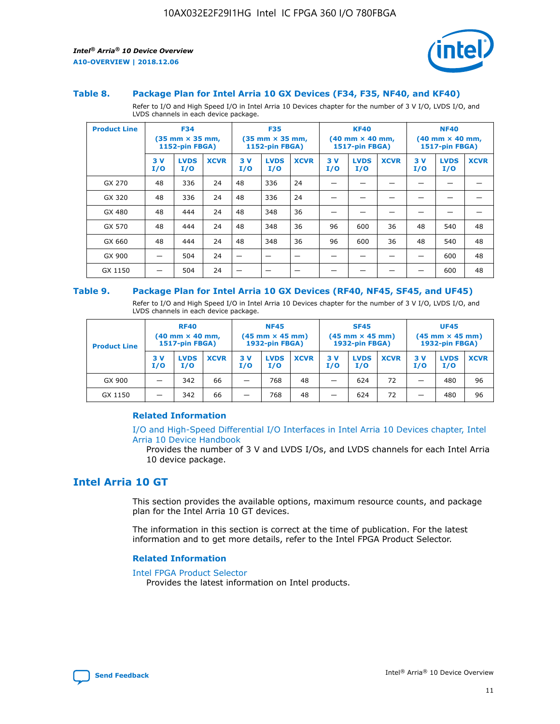

#### **Table 8. Package Plan for Intel Arria 10 GX Devices (F34, F35, NF40, and KF40)**

Refer to I/O and High Speed I/O in Intel Arria 10 Devices chapter for the number of 3 V I/O, LVDS I/O, and LVDS channels in each device package.

| <b>Product Line</b> | <b>F34</b><br>(35 mm × 35 mm,<br><b>1152-pin FBGA)</b> |                    | <b>F35</b><br>$(35$ mm $\times$ 35 mm,<br><b>1152-pin FBGA)</b> |           | <b>KF40</b><br>$(40 \text{ mm} \times 40 \text{ mm})$<br>1517-pin FBGA) |             |           | <b>NF40</b><br>$(40 \text{ mm} \times 40 \text{ mm})$<br><b>1517-pin FBGA)</b> |             |           |                    |             |
|---------------------|--------------------------------------------------------|--------------------|-----------------------------------------------------------------|-----------|-------------------------------------------------------------------------|-------------|-----------|--------------------------------------------------------------------------------|-------------|-----------|--------------------|-------------|
|                     | 3V<br>I/O                                              | <b>LVDS</b><br>I/O | <b>XCVR</b>                                                     | 3V<br>I/O | <b>LVDS</b><br>I/O                                                      | <b>XCVR</b> | 3V<br>I/O | <b>LVDS</b><br>I/O                                                             | <b>XCVR</b> | 3V<br>I/O | <b>LVDS</b><br>I/O | <b>XCVR</b> |
| GX 270              | 48                                                     | 336                | 24                                                              | 48        | 336                                                                     | 24          |           |                                                                                |             |           |                    |             |
| GX 320              | 48                                                     | 336                | 24                                                              | 48        | 336                                                                     | 24          |           |                                                                                |             |           |                    |             |
| GX 480              | 48                                                     | 444                | 24                                                              | 48        | 348                                                                     | 36          |           |                                                                                |             |           |                    |             |
| GX 570              | 48                                                     | 444                | 24                                                              | 48        | 348                                                                     | 36          | 96        | 600                                                                            | 36          | 48        | 540                | 48          |
| GX 660              | 48                                                     | 444                | 24                                                              | 48        | 348                                                                     | 36          | 96        | 600                                                                            | 36          | 48        | 540                | 48          |
| GX 900              |                                                        | 504                | 24                                                              | -         |                                                                         | -           |           |                                                                                |             |           | 600                | 48          |
| GX 1150             |                                                        | 504                | 24                                                              |           |                                                                         |             |           |                                                                                |             |           | 600                | 48          |

#### **Table 9. Package Plan for Intel Arria 10 GX Devices (RF40, NF45, SF45, and UF45)**

Refer to I/O and High Speed I/O in Intel Arria 10 Devices chapter for the number of 3 V I/O, LVDS I/O, and LVDS channels in each device package.

| <b>Product Line</b> | <b>RF40</b><br>$(40$ mm $\times$ 40 mm,<br>1517-pin FBGA) |                    | <b>NF45</b><br>$(45 \text{ mm} \times 45 \text{ mm})$<br><b>1932-pin FBGA)</b> |            |                    | <b>SF45</b><br>$(45 \text{ mm} \times 45 \text{ mm})$<br><b>1932-pin FBGA)</b> |            |                    | <b>UF45</b><br>$(45 \text{ mm} \times 45 \text{ mm})$<br><b>1932-pin FBGA)</b> |           |                    |             |
|---------------------|-----------------------------------------------------------|--------------------|--------------------------------------------------------------------------------|------------|--------------------|--------------------------------------------------------------------------------|------------|--------------------|--------------------------------------------------------------------------------|-----------|--------------------|-------------|
|                     | 3V<br>I/O                                                 | <b>LVDS</b><br>I/O | <b>XCVR</b>                                                                    | 3 V<br>I/O | <b>LVDS</b><br>I/O | <b>XCVR</b>                                                                    | 3 V<br>I/O | <b>LVDS</b><br>I/O | <b>XCVR</b>                                                                    | 3V<br>I/O | <b>LVDS</b><br>I/O | <b>XCVR</b> |
| GX 900              |                                                           | 342                | 66                                                                             | _          | 768                | 48                                                                             |            | 624                | 72                                                                             |           | 480                | 96          |
| GX 1150             |                                                           | 342                | 66                                                                             | _          | 768                | 48                                                                             |            | 624                | 72                                                                             |           | 480                | 96          |

#### **Related Information**

[I/O and High-Speed Differential I/O Interfaces in Intel Arria 10 Devices chapter, Intel](https://www.intel.com/content/www/us/en/programmable/documentation/sam1403482614086.html#sam1403482030321) [Arria 10 Device Handbook](https://www.intel.com/content/www/us/en/programmable/documentation/sam1403482614086.html#sam1403482030321)

Provides the number of 3 V and LVDS I/Os, and LVDS channels for each Intel Arria 10 device package.

# **Intel Arria 10 GT**

This section provides the available options, maximum resource counts, and package plan for the Intel Arria 10 GT devices.

The information in this section is correct at the time of publication. For the latest information and to get more details, refer to the Intel FPGA Product Selector.

#### **Related Information**

#### [Intel FPGA Product Selector](http://www.altera.com/products/selector/psg-selector.html)

Provides the latest information on Intel products.

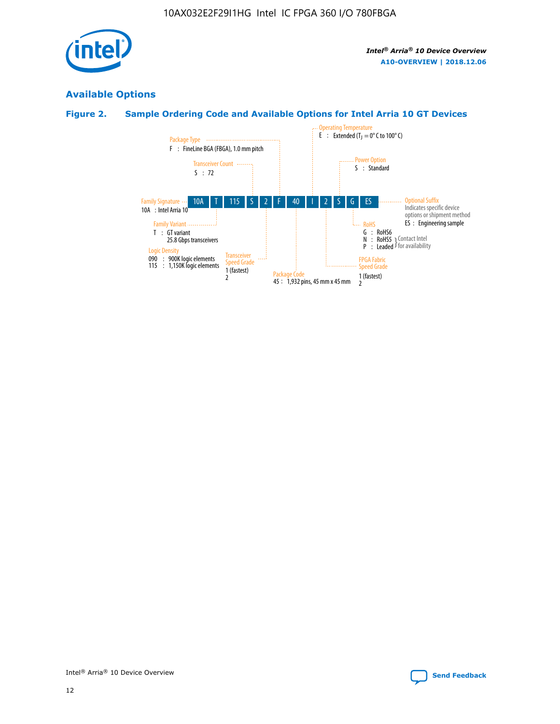

# **Available Options**

# **Figure 2. Sample Ordering Code and Available Options for Intel Arria 10 GT Devices**

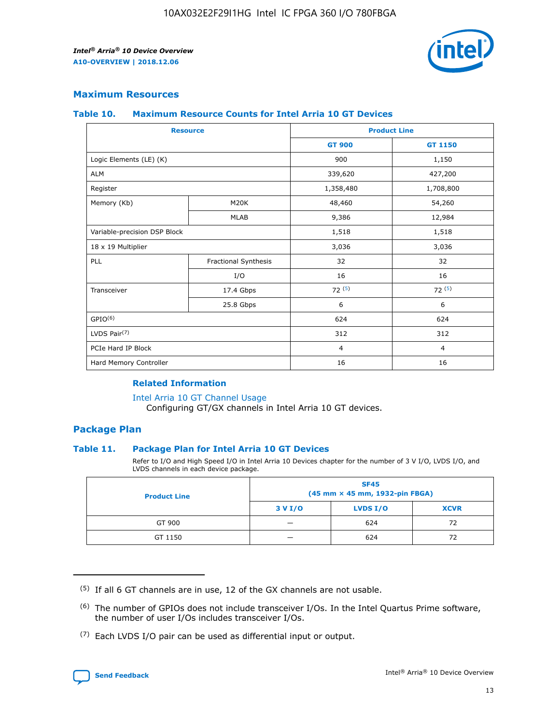

## **Maximum Resources**

#### **Table 10. Maximum Resource Counts for Intel Arria 10 GT Devices**

| <b>Resource</b>              |                      | <b>Product Line</b> |                |  |
|------------------------------|----------------------|---------------------|----------------|--|
|                              |                      | <b>GT 900</b>       | <b>GT 1150</b> |  |
| Logic Elements (LE) (K)      |                      | 900                 | 1,150          |  |
| <b>ALM</b>                   |                      | 339,620             | 427,200        |  |
| Register                     |                      | 1,358,480           | 1,708,800      |  |
| Memory (Kb)                  | M20K                 | 48,460              | 54,260         |  |
|                              | <b>MLAB</b>          | 9,386               | 12,984         |  |
| Variable-precision DSP Block |                      | 1,518               | 1,518          |  |
| 18 x 19 Multiplier           |                      | 3,036               | 3,036          |  |
| <b>PLL</b>                   | Fractional Synthesis | 32                  | 32             |  |
|                              | I/O                  | 16                  | 16             |  |
| Transceiver                  | 17.4 Gbps            | 72(5)               | 72(5)          |  |
|                              | 25.8 Gbps            | 6                   | 6              |  |
| GPIO <sup>(6)</sup>          |                      | 624                 | 624            |  |
| LVDS Pair $(7)$              |                      | 312                 | 312            |  |
| PCIe Hard IP Block           |                      | $\overline{4}$      | $\overline{4}$ |  |
| Hard Memory Controller       |                      | 16                  | 16             |  |

#### **Related Information**

#### [Intel Arria 10 GT Channel Usage](https://www.intel.com/content/www/us/en/programmable/documentation/nik1398707230472.html#nik1398707008178)

Configuring GT/GX channels in Intel Arria 10 GT devices.

## **Package Plan**

#### **Table 11. Package Plan for Intel Arria 10 GT Devices**

Refer to I/O and High Speed I/O in Intel Arria 10 Devices chapter for the number of 3 V I/O, LVDS I/O, and LVDS channels in each device package.

| <b>Product Line</b> | <b>SF45</b><br>(45 mm × 45 mm, 1932-pin FBGA) |                 |             |  |  |  |
|---------------------|-----------------------------------------------|-----------------|-------------|--|--|--|
|                     | 3 V I/O                                       | <b>LVDS I/O</b> | <b>XCVR</b> |  |  |  |
| GT 900              |                                               | 624             | 72          |  |  |  |
| GT 1150             |                                               | 624             | 72          |  |  |  |

<sup>(7)</sup> Each LVDS I/O pair can be used as differential input or output.



 $(5)$  If all 6 GT channels are in use, 12 of the GX channels are not usable.

<sup>(6)</sup> The number of GPIOs does not include transceiver I/Os. In the Intel Quartus Prime software, the number of user I/Os includes transceiver I/Os.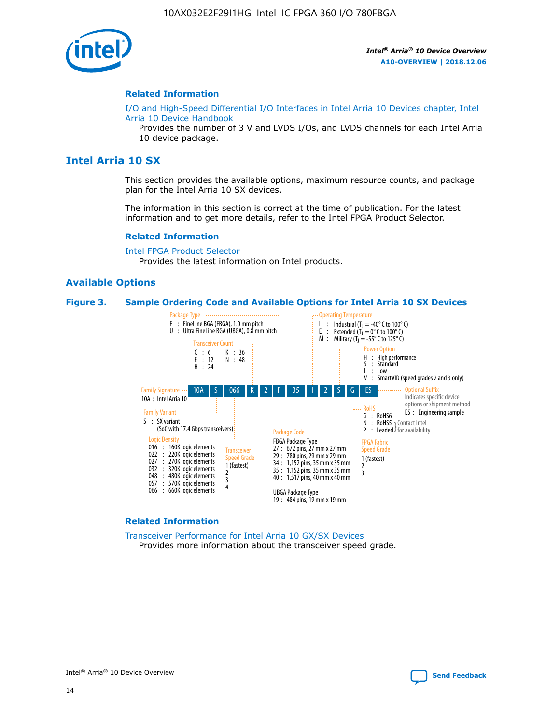

#### **Related Information**

[I/O and High-Speed Differential I/O Interfaces in Intel Arria 10 Devices chapter, Intel](https://www.intel.com/content/www/us/en/programmable/documentation/sam1403482614086.html#sam1403482030321) [Arria 10 Device Handbook](https://www.intel.com/content/www/us/en/programmable/documentation/sam1403482614086.html#sam1403482030321)

Provides the number of 3 V and LVDS I/Os, and LVDS channels for each Intel Arria 10 device package.

# **Intel Arria 10 SX**

This section provides the available options, maximum resource counts, and package plan for the Intel Arria 10 SX devices.

The information in this section is correct at the time of publication. For the latest information and to get more details, refer to the Intel FPGA Product Selector.

#### **Related Information**

[Intel FPGA Product Selector](http://www.altera.com/products/selector/psg-selector.html) Provides the latest information on Intel products.

#### **Available Options**

#### **Figure 3. Sample Ordering Code and Available Options for Intel Arria 10 SX Devices**



#### **Related Information**

[Transceiver Performance for Intel Arria 10 GX/SX Devices](https://www.intel.com/content/www/us/en/programmable/documentation/mcn1413182292568.html#mcn1413213965502) Provides more information about the transceiver speed grade.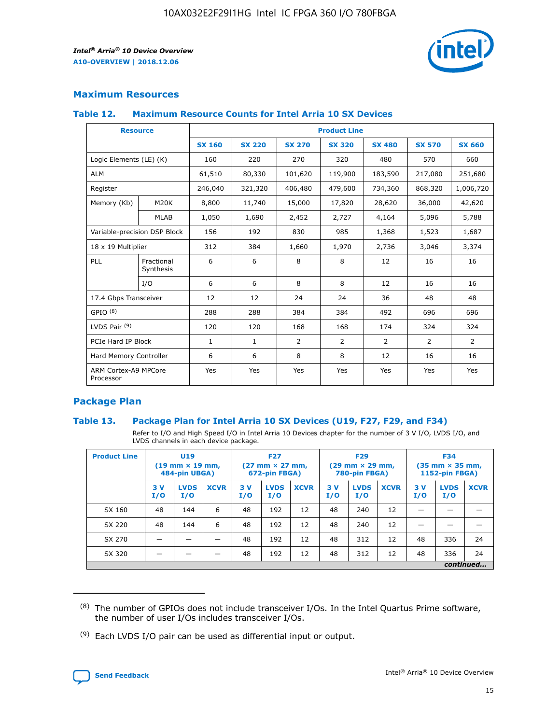

# **Maximum Resources**

#### **Table 12. Maximum Resource Counts for Intel Arria 10 SX Devices**

|                                   | <b>Resource</b>         | <b>Product Line</b> |               |                |                |                |                |                |  |  |  |
|-----------------------------------|-------------------------|---------------------|---------------|----------------|----------------|----------------|----------------|----------------|--|--|--|
|                                   |                         | <b>SX 160</b>       | <b>SX 220</b> | <b>SX 270</b>  | <b>SX 320</b>  | <b>SX 480</b>  | <b>SX 570</b>  | <b>SX 660</b>  |  |  |  |
| Logic Elements (LE) (K)           |                         | 160                 | 220           | 270            | 320            | 480            | 570            | 660            |  |  |  |
| <b>ALM</b>                        |                         | 61,510              | 80,330        | 101,620        | 119,900        | 183,590        | 217,080        | 251,680        |  |  |  |
| Register                          |                         | 246,040             | 321,320       | 406,480        | 479,600        | 734,360        | 868,320        | 1,006,720      |  |  |  |
| Memory (Kb)                       | M <sub>20</sub> K       | 8,800               | 11,740        | 15,000         | 17,820         | 28,620         | 36,000         | 42,620         |  |  |  |
|                                   | <b>MLAB</b>             | 1,050               | 1,690         | 2,452          | 2,727          | 4,164          | 5,096          | 5,788          |  |  |  |
| Variable-precision DSP Block      |                         | 156                 | 192           | 830            | 985            | 1,368          | 1,523          | 1,687          |  |  |  |
| 18 x 19 Multiplier                |                         | 312                 | 384           | 1,660          | 1,970          | 2,736          | 3,046          | 3,374          |  |  |  |
| <b>PLL</b>                        | Fractional<br>Synthesis | 6                   | 6             | 8              | 8              | 12             | 16             | 16             |  |  |  |
|                                   | I/O                     | 6                   | 6             | 8              | 8              | 12             | 16             | 16             |  |  |  |
| 17.4 Gbps Transceiver             |                         | 12                  | 12            | 24             | 24             | 36             | 48             | 48             |  |  |  |
| GPIO <sup>(8)</sup>               |                         | 288                 | 288           | 384            | 384            | 492            | 696            | 696            |  |  |  |
| LVDS Pair $(9)$                   |                         | 120                 | 120           | 168            | 168            | 174            | 324            | 324            |  |  |  |
| PCIe Hard IP Block                |                         | $\mathbf{1}$        | $\mathbf{1}$  | $\overline{2}$ | $\overline{2}$ | $\overline{2}$ | $\overline{2}$ | $\overline{2}$ |  |  |  |
| Hard Memory Controller            |                         | 6                   | 6             | 8              | 8              | 12             | 16             | 16             |  |  |  |
| ARM Cortex-A9 MPCore<br>Processor |                         | Yes                 | Yes           | Yes            | Yes            | Yes            | Yes            | Yes            |  |  |  |

# **Package Plan**

#### **Table 13. Package Plan for Intel Arria 10 SX Devices (U19, F27, F29, and F34)**

Refer to I/O and High Speed I/O in Intel Arria 10 Devices chapter for the number of 3 V I/O, LVDS I/O, and LVDS channels in each device package.

| <b>Product Line</b> | U19<br>$(19 \text{ mm} \times 19 \text{ mm})$<br>484-pin UBGA) |                    |             | <b>F27</b><br>$(27 \text{ mm} \times 27 \text{ mm})$ .<br>672-pin FBGA) |                    | <b>F29</b><br>$(29 \text{ mm} \times 29 \text{ mm})$ .<br>780-pin FBGA) |            |                    | <b>F34</b><br>$(35 \text{ mm} \times 35 \text{ mm})$<br><b>1152-pin FBGA)</b> |           |                    |             |
|---------------------|----------------------------------------------------------------|--------------------|-------------|-------------------------------------------------------------------------|--------------------|-------------------------------------------------------------------------|------------|--------------------|-------------------------------------------------------------------------------|-----------|--------------------|-------------|
|                     | 3V<br>I/O                                                      | <b>LVDS</b><br>I/O | <b>XCVR</b> | 3V<br>I/O                                                               | <b>LVDS</b><br>I/O | <b>XCVR</b>                                                             | 3 V<br>I/O | <b>LVDS</b><br>I/O | <b>XCVR</b>                                                                   | 3V<br>I/O | <b>LVDS</b><br>I/O | <b>XCVR</b> |
| SX 160              | 48                                                             | 144                | 6           | 48                                                                      | 192                | 12                                                                      | 48         | 240                | 12                                                                            |           |                    |             |
| SX 220              | 48                                                             | 144                | 6           | 48                                                                      | 192                | 12                                                                      | 48         | 240                | 12                                                                            |           |                    |             |
| SX 270              |                                                                |                    |             | 48                                                                      | 192                | 12                                                                      | 48         | 312                | 12                                                                            | 48        | 336                | 24          |
| SX 320              |                                                                |                    |             | 48                                                                      | 192                | 12                                                                      | 48         | 312                | 12                                                                            | 48        | 336                | 24          |
|                     |                                                                | continued          |             |                                                                         |                    |                                                                         |            |                    |                                                                               |           |                    |             |

 $(8)$  The number of GPIOs does not include transceiver I/Os. In the Intel Quartus Prime software, the number of user I/Os includes transceiver I/Os.

 $(9)$  Each LVDS I/O pair can be used as differential input or output.

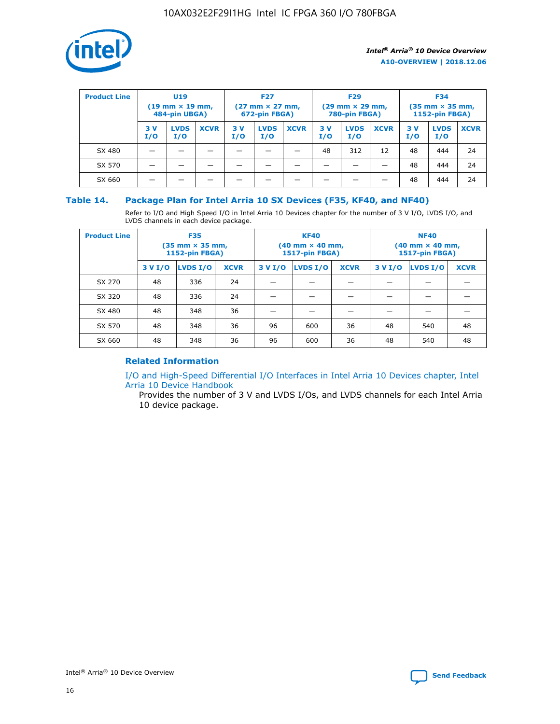

| <b>Product Line</b> | U <sub>19</sub><br>$(19 \text{ mm} \times 19 \text{ mm})$<br>484-pin UBGA) |                    | <b>F27</b><br>$(27 \text{ mm} \times 27 \text{ mm})$<br>672-pin FBGA) |           | <b>F29</b><br>$(29 \text{ mm} \times 29 \text{ mm})$<br>780-pin FBGA) |             |           | <b>F34</b><br>$(35$ mm $\times$ 35 mm,<br><b>1152-pin FBGA)</b> |             |           |                    |             |
|---------------------|----------------------------------------------------------------------------|--------------------|-----------------------------------------------------------------------|-----------|-----------------------------------------------------------------------|-------------|-----------|-----------------------------------------------------------------|-------------|-----------|--------------------|-------------|
|                     | 3 V<br>I/O                                                                 | <b>LVDS</b><br>I/O | <b>XCVR</b>                                                           | 3V<br>I/O | <b>LVDS</b><br>I/O                                                    | <b>XCVR</b> | 3V<br>I/O | <b>LVDS</b><br>I/O                                              | <b>XCVR</b> | 3V<br>I/O | <b>LVDS</b><br>I/O | <b>XCVR</b> |
| SX 480              |                                                                            |                    |                                                                       |           |                                                                       |             | 48        | 312                                                             | 12          | 48        | 444                | 24          |
| SX 570              |                                                                            |                    |                                                                       |           |                                                                       |             |           |                                                                 |             | 48        | 444                | 24          |
| SX 660              |                                                                            |                    |                                                                       |           |                                                                       |             |           |                                                                 |             | 48        | 444                | 24          |

## **Table 14. Package Plan for Intel Arria 10 SX Devices (F35, KF40, and NF40)**

Refer to I/O and High Speed I/O in Intel Arria 10 Devices chapter for the number of 3 V I/O, LVDS I/O, and LVDS channels in each device package.

| <b>Product Line</b> | <b>F35</b><br>(35 mm × 35 mm,<br><b>1152-pin FBGA)</b> |          |             |                                           | <b>KF40</b><br>(40 mm × 40 mm,<br>1517-pin FBGA) |    | <b>NF40</b><br>$(40 \text{ mm} \times 40 \text{ mm})$<br>1517-pin FBGA) |          |             |  |
|---------------------|--------------------------------------------------------|----------|-------------|-------------------------------------------|--------------------------------------------------|----|-------------------------------------------------------------------------|----------|-------------|--|
|                     | 3 V I/O                                                | LVDS I/O | <b>XCVR</b> | <b>LVDS I/O</b><br>3 V I/O<br><b>XCVR</b> |                                                  |    | 3 V I/O                                                                 | LVDS I/O | <b>XCVR</b> |  |
| SX 270              | 48                                                     | 336      | 24          |                                           |                                                  |    |                                                                         |          |             |  |
| SX 320              | 48                                                     | 336      | 24          |                                           |                                                  |    |                                                                         |          |             |  |
| SX 480              | 48                                                     | 348      | 36          |                                           |                                                  |    |                                                                         |          |             |  |
| SX 570              | 48                                                     | 348      | 36          | 96                                        | 600                                              | 36 | 48                                                                      | 540      | 48          |  |
| SX 660              | 48                                                     | 348      | 36          | 96                                        | 600                                              | 36 | 48                                                                      | 540      | 48          |  |

# **Related Information**

[I/O and High-Speed Differential I/O Interfaces in Intel Arria 10 Devices chapter, Intel](https://www.intel.com/content/www/us/en/programmable/documentation/sam1403482614086.html#sam1403482030321) [Arria 10 Device Handbook](https://www.intel.com/content/www/us/en/programmable/documentation/sam1403482614086.html#sam1403482030321)

Provides the number of 3 V and LVDS I/Os, and LVDS channels for each Intel Arria 10 device package.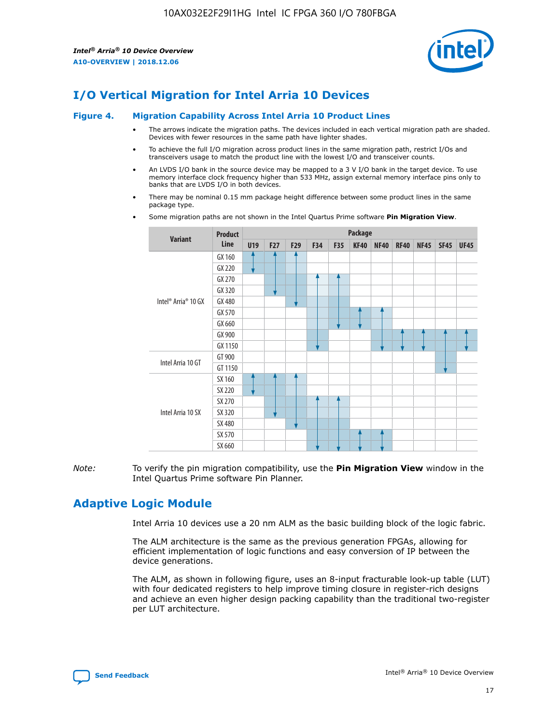

# **I/O Vertical Migration for Intel Arria 10 Devices**

#### **Figure 4. Migration Capability Across Intel Arria 10 Product Lines**

- The arrows indicate the migration paths. The devices included in each vertical migration path are shaded. Devices with fewer resources in the same path have lighter shades.
- To achieve the full I/O migration across product lines in the same migration path, restrict I/Os and transceivers usage to match the product line with the lowest I/O and transceiver counts.
- An LVDS I/O bank in the source device may be mapped to a 3 V I/O bank in the target device. To use memory interface clock frequency higher than 533 MHz, assign external memory interface pins only to banks that are LVDS I/O in both devices.
- There may be nominal 0.15 mm package height difference between some product lines in the same package type.
	- **Variant Product Line Package U19 F27 F29 F34 F35 KF40 NF40 RF40 NF45 SF45 UF45** Intel® Arria® 10 GX GX 160 GX 220 GX 270 GX 320 GX 480 GX 570 GX 660 GX 900 GX 1150 Intel Arria 10 GT GT 900 GT 1150 Intel Arria 10 SX SX 160 SX 220 SX 270 SX 320 SX 480 SX 570 SX 660
- Some migration paths are not shown in the Intel Quartus Prime software **Pin Migration View**.

*Note:* To verify the pin migration compatibility, use the **Pin Migration View** window in the Intel Quartus Prime software Pin Planner.

# **Adaptive Logic Module**

Intel Arria 10 devices use a 20 nm ALM as the basic building block of the logic fabric.

The ALM architecture is the same as the previous generation FPGAs, allowing for efficient implementation of logic functions and easy conversion of IP between the device generations.

The ALM, as shown in following figure, uses an 8-input fracturable look-up table (LUT) with four dedicated registers to help improve timing closure in register-rich designs and achieve an even higher design packing capability than the traditional two-register per LUT architecture.

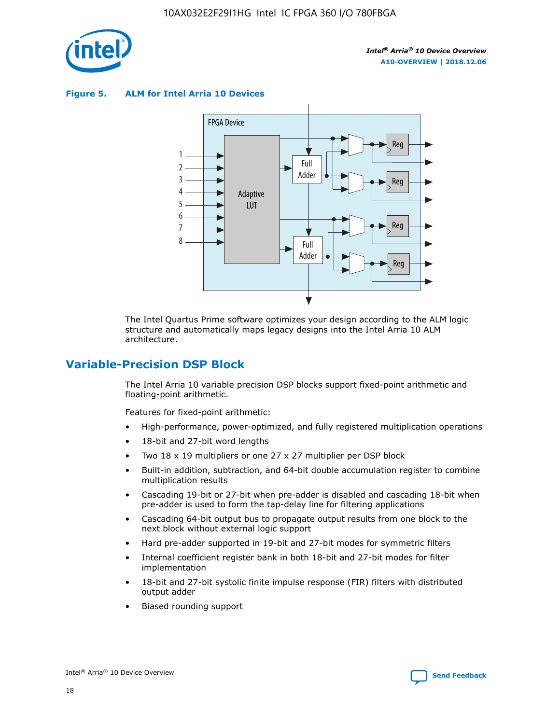

**Figure 5. ALM for Intel Arria 10 Devices**



The Intel Quartus Prime software optimizes your design according to the ALM logic structure and automatically maps legacy designs into the Intel Arria 10 ALM architecture.

# **Variable-Precision DSP Block**

The Intel Arria 10 variable precision DSP blocks support fixed-point arithmetic and floating-point arithmetic.

Features for fixed-point arithmetic:

- High-performance, power-optimized, and fully registered multiplication operations
- 18-bit and 27-bit word lengths
- Two 18 x 19 multipliers or one 27 x 27 multiplier per DSP block
- Built-in addition, subtraction, and 64-bit double accumulation register to combine multiplication results
- Cascading 19-bit or 27-bit when pre-adder is disabled and cascading 18-bit when pre-adder is used to form the tap-delay line for filtering applications
- Cascading 64-bit output bus to propagate output results from one block to the next block without external logic support
- Hard pre-adder supported in 19-bit and 27-bit modes for symmetric filters
- Internal coefficient register bank in both 18-bit and 27-bit modes for filter implementation
- 18-bit and 27-bit systolic finite impulse response (FIR) filters with distributed output adder
- Biased rounding support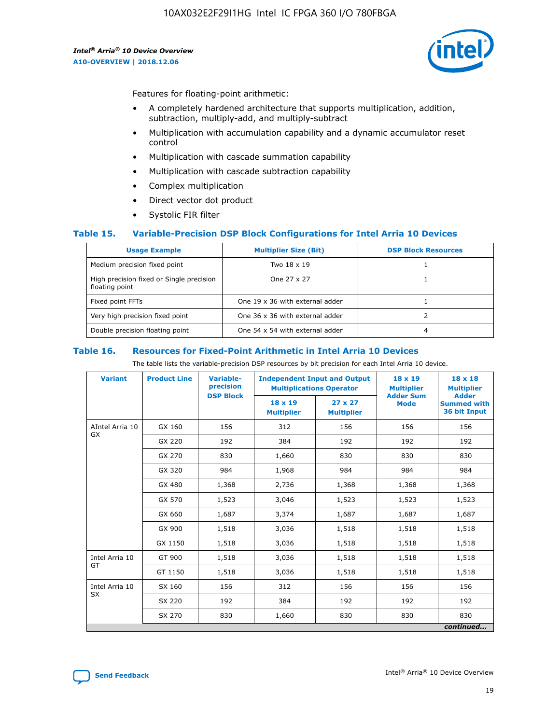

Features for floating-point arithmetic:

- A completely hardened architecture that supports multiplication, addition, subtraction, multiply-add, and multiply-subtract
- Multiplication with accumulation capability and a dynamic accumulator reset control
- Multiplication with cascade summation capability
- Multiplication with cascade subtraction capability
- Complex multiplication
- Direct vector dot product
- Systolic FIR filter

#### **Table 15. Variable-Precision DSP Block Configurations for Intel Arria 10 Devices**

| <b>Usage Example</b>                                       | <b>Multiplier Size (Bit)</b>    | <b>DSP Block Resources</b> |
|------------------------------------------------------------|---------------------------------|----------------------------|
| Medium precision fixed point                               | Two 18 x 19                     |                            |
| High precision fixed or Single precision<br>floating point | One 27 x 27                     |                            |
| Fixed point FFTs                                           | One 19 x 36 with external adder |                            |
| Very high precision fixed point                            | One 36 x 36 with external adder |                            |
| Double precision floating point                            | One 54 x 54 with external adder | 4                          |

#### **Table 16. Resources for Fixed-Point Arithmetic in Intel Arria 10 Devices**

The table lists the variable-precision DSP resources by bit precision for each Intel Arria 10 device.

| <b>Variant</b>  | <b>Product Line</b> | <b>Variable-</b><br>precision<br><b>DSP Block</b> | <b>Independent Input and Output</b><br><b>Multiplications Operator</b> |                                     | 18 x 19<br><b>Multiplier</b><br><b>Adder Sum</b> | $18 \times 18$<br><b>Multiplier</b><br><b>Adder</b> |
|-----------------|---------------------|---------------------------------------------------|------------------------------------------------------------------------|-------------------------------------|--------------------------------------------------|-----------------------------------------------------|
|                 |                     |                                                   | 18 x 19<br><b>Multiplier</b>                                           | $27 \times 27$<br><b>Multiplier</b> | <b>Mode</b>                                      | <b>Summed with</b><br>36 bit Input                  |
| AIntel Arria 10 | GX 160              | 156                                               | 312                                                                    | 156                                 | 156                                              | 156                                                 |
| GX              | GX 220              | 192                                               | 384                                                                    | 192                                 | 192                                              | 192                                                 |
|                 | GX 270              | 830                                               | 1,660                                                                  | 830                                 | 830                                              | 830                                                 |
|                 | GX 320              | 984                                               | 1,968                                                                  | 984                                 | 984                                              | 984                                                 |
|                 | GX 480              | 1,368                                             | 2,736                                                                  | 1,368                               | 1,368                                            | 1,368                                               |
|                 | GX 570              | 1,523                                             | 3,046                                                                  | 1,523                               | 1,523                                            | 1,523                                               |
|                 | GX 660              | 1,687                                             | 3,374                                                                  | 1,687                               | 1,687                                            | 1,687                                               |
|                 | GX 900              | 1,518                                             | 3,036                                                                  | 1,518                               | 1,518                                            | 1,518                                               |
|                 | GX 1150             | 1,518                                             | 3,036                                                                  | 1,518                               | 1,518                                            | 1,518                                               |
| Intel Arria 10  | GT 900              | 1,518                                             | 3,036                                                                  | 1,518                               | 1,518                                            | 1,518                                               |
| GT              | GT 1150             | 1,518                                             | 3,036                                                                  | 1,518                               | 1,518                                            | 1,518                                               |
| Intel Arria 10  | SX 160              | 156                                               | 312                                                                    | 156                                 | 156                                              | 156                                                 |
| <b>SX</b>       | SX 220              | 192                                               | 384                                                                    | 192                                 | 192                                              | 192                                                 |
|                 | SX 270              | 830                                               | 830<br>1,660                                                           |                                     | 830                                              | 830                                                 |
|                 |                     |                                                   |                                                                        |                                     |                                                  | continued                                           |

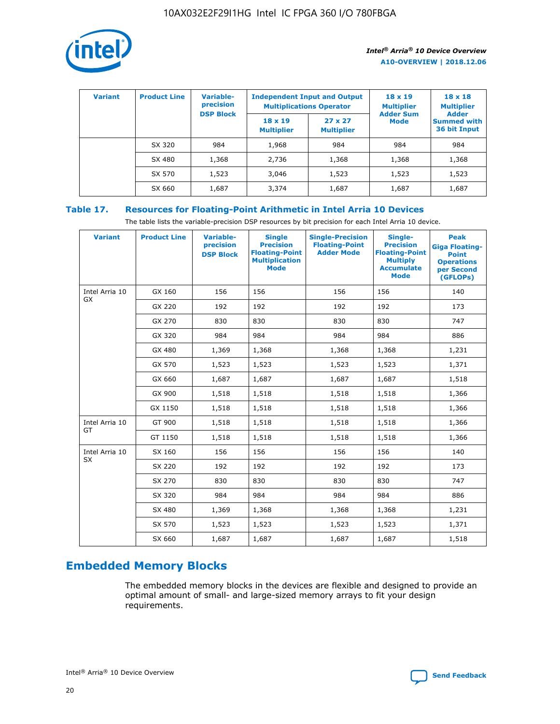

| <b>Variant</b> | <b>Product Line</b> | Variable-<br>precision | <b>Independent Input and Output</b><br><b>Multiplications Operator</b> |                                     | $18 \times 19$<br><b>Multiplier</b> | $18 \times 18$<br><b>Multiplier</b><br><b>Adder</b> |  |
|----------------|---------------------|------------------------|------------------------------------------------------------------------|-------------------------------------|-------------------------------------|-----------------------------------------------------|--|
|                |                     | <b>DSP Block</b>       | $18 \times 19$<br><b>Multiplier</b>                                    | $27 \times 27$<br><b>Multiplier</b> | <b>Adder Sum</b><br><b>Mode</b>     | <b>Summed with</b><br>36 bit Input                  |  |
|                | SX 320              | 984                    | 1,968                                                                  | 984                                 | 984                                 | 984                                                 |  |
|                | SX 480              | 1,368                  | 2,736                                                                  | 1,368                               | 1,368                               | 1,368                                               |  |
|                | SX 570              | 1,523                  | 3,046                                                                  | 1,523                               | 1,523                               | 1,523                                               |  |
|                | SX 660              | 1,687                  | 3,374                                                                  | 1,687                               | 1,687                               | 1,687                                               |  |

# **Table 17. Resources for Floating-Point Arithmetic in Intel Arria 10 Devices**

The table lists the variable-precision DSP resources by bit precision for each Intel Arria 10 device.

| <b>Variant</b> | <b>Product Line</b> | <b>Variable-</b><br>precision<br><b>DSP Block</b> | <b>Single</b><br><b>Precision</b><br><b>Floating-Point</b><br><b>Multiplication</b><br><b>Mode</b> | <b>Single-Precision</b><br><b>Floating-Point</b><br><b>Adder Mode</b> | Single-<br><b>Precision</b><br><b>Floating-Point</b><br><b>Multiply</b><br><b>Accumulate</b><br><b>Mode</b> | <b>Peak</b><br><b>Giga Floating-</b><br><b>Point</b><br><b>Operations</b><br>per Second<br>(GFLOPs) |
|----------------|---------------------|---------------------------------------------------|----------------------------------------------------------------------------------------------------|-----------------------------------------------------------------------|-------------------------------------------------------------------------------------------------------------|-----------------------------------------------------------------------------------------------------|
| Intel Arria 10 | GX 160              | 156                                               | 156                                                                                                | 156                                                                   | 156                                                                                                         | 140                                                                                                 |
| GX             | GX 220              | 192                                               | 192                                                                                                | 192                                                                   | 192                                                                                                         | 173                                                                                                 |
|                | GX 270              | 830                                               | 830                                                                                                | 830                                                                   | 830                                                                                                         | 747                                                                                                 |
|                | GX 320              | 984                                               | 984                                                                                                | 984                                                                   | 984                                                                                                         | 886                                                                                                 |
|                | GX 480              | 1,369                                             | 1,368                                                                                              | 1,368                                                                 | 1,368                                                                                                       | 1,231                                                                                               |
|                | GX 570              | 1,523                                             | 1,523                                                                                              | 1,523                                                                 | 1,523                                                                                                       | 1,371                                                                                               |
|                | GX 660              | 1,687                                             | 1,687                                                                                              | 1,687                                                                 | 1,687                                                                                                       | 1,518                                                                                               |
|                | GX 900              | 1,518                                             | 1,518                                                                                              | 1,518                                                                 | 1,518                                                                                                       | 1,366                                                                                               |
|                | GX 1150             | 1,518                                             | 1,518                                                                                              | 1,518                                                                 | 1,518                                                                                                       | 1,366                                                                                               |
| Intel Arria 10 | GT 900              | 1,518                                             | 1,518                                                                                              | 1,518                                                                 | 1,518                                                                                                       | 1,366                                                                                               |
| GT             | GT 1150             | 1,518                                             | 1,518                                                                                              | 1,518                                                                 | 1,518                                                                                                       | 1,366                                                                                               |
| Intel Arria 10 | SX 160              | 156                                               | 156                                                                                                | 156                                                                   | 156                                                                                                         | 140                                                                                                 |
| <b>SX</b>      | SX 220              | 192                                               | 192                                                                                                | 192                                                                   | 192                                                                                                         | 173                                                                                                 |
|                | SX 270              | 830                                               | 830                                                                                                | 830                                                                   | 830                                                                                                         | 747                                                                                                 |
|                | SX 320              | 984                                               | 984                                                                                                | 984                                                                   | 984                                                                                                         | 886                                                                                                 |
|                | SX 480              | 1,369                                             | 1,368                                                                                              | 1,368                                                                 | 1,368                                                                                                       | 1,231                                                                                               |
|                | SX 570              | 1,523                                             | 1,523                                                                                              | 1,523                                                                 | 1,523                                                                                                       | 1,371                                                                                               |
|                | SX 660              | 1,687                                             | 1,687                                                                                              | 1,687                                                                 | 1,687                                                                                                       | 1,518                                                                                               |

# **Embedded Memory Blocks**

The embedded memory blocks in the devices are flexible and designed to provide an optimal amount of small- and large-sized memory arrays to fit your design requirements.

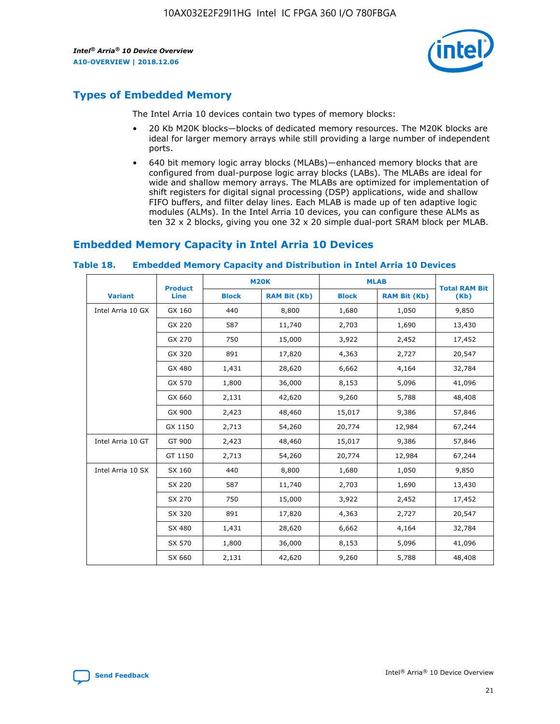

# **Types of Embedded Memory**

The Intel Arria 10 devices contain two types of memory blocks:

- 20 Kb M20K blocks—blocks of dedicated memory resources. The M20K blocks are ideal for larger memory arrays while still providing a large number of independent ports.
- 640 bit memory logic array blocks (MLABs)—enhanced memory blocks that are configured from dual-purpose logic array blocks (LABs). The MLABs are ideal for wide and shallow memory arrays. The MLABs are optimized for implementation of shift registers for digital signal processing (DSP) applications, wide and shallow FIFO buffers, and filter delay lines. Each MLAB is made up of ten adaptive logic modules (ALMs). In the Intel Arria 10 devices, you can configure these ALMs as ten 32 x 2 blocks, giving you one 32 x 20 simple dual-port SRAM block per MLAB.

# **Embedded Memory Capacity in Intel Arria 10 Devices**

|                   | <b>Product</b> |              | <b>M20K</b>         | <b>MLAB</b>  |                     | <b>Total RAM Bit</b> |
|-------------------|----------------|--------------|---------------------|--------------|---------------------|----------------------|
| <b>Variant</b>    | Line           | <b>Block</b> | <b>RAM Bit (Kb)</b> | <b>Block</b> | <b>RAM Bit (Kb)</b> | (Kb)                 |
| Intel Arria 10 GX | GX 160         | 440          | 8,800               | 1,680        | 1,050               | 9,850                |
|                   | GX 220         | 587          | 11,740              | 2,703        | 1,690               | 13,430               |
|                   | GX 270         | 750          | 15,000              | 3,922        | 2,452               | 17,452               |
|                   | GX 320         | 891          | 17,820              | 4,363        | 2,727               | 20,547               |
|                   | GX 480         | 1,431        | 28,620              | 6,662        | 4,164               | 32,784               |
|                   | GX 570         | 1,800        | 36,000              | 8,153        | 5,096               | 41,096               |
|                   | GX 660         | 2,131        | 42,620              | 9,260        | 5,788               | 48,408               |
|                   | GX 900         | 2,423        | 48,460              | 15,017       | 9,386               | 57,846               |
|                   | GX 1150        | 2,713        | 54,260              | 20,774       | 12,984              | 67,244               |
| Intel Arria 10 GT | GT 900         | 2,423        | 48,460              | 15,017       | 9,386               | 57,846               |
|                   | GT 1150        | 2,713        | 54,260              | 20,774       | 12,984              | 67,244               |
| Intel Arria 10 SX | SX 160         | 440          | 8,800               | 1,680        | 1,050               | 9,850                |
|                   | SX 220         | 587          | 11,740              | 2,703        | 1,690               | 13,430               |
|                   | SX 270         | 750          | 15,000              | 3,922        | 2,452               | 17,452               |
|                   | SX 320         | 891          | 17,820              | 4,363        | 2,727               | 20,547               |
|                   | SX 480         | 1,431        | 28,620              | 6,662        | 4,164               | 32,784               |
|                   | SX 570         | 1,800        | 36,000              | 8,153        | 5,096               | 41,096               |
|                   | SX 660         | 2,131        | 42,620              | 9,260        | 5,788               | 48,408               |

#### **Table 18. Embedded Memory Capacity and Distribution in Intel Arria 10 Devices**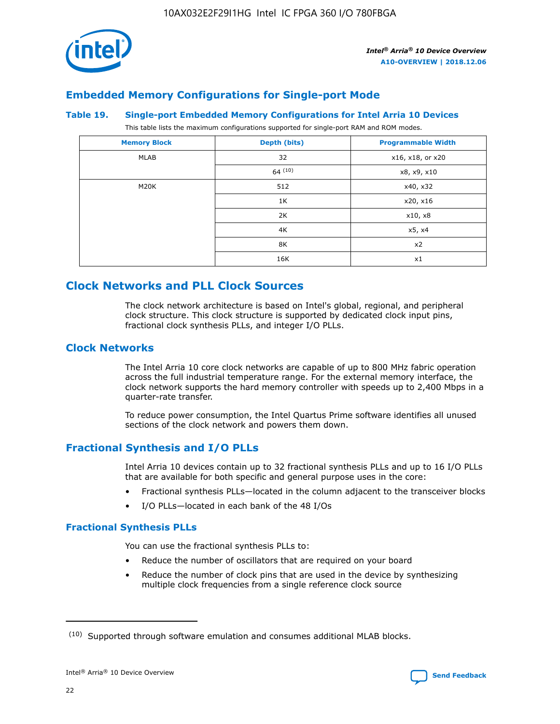

# **Embedded Memory Configurations for Single-port Mode**

#### **Table 19. Single-port Embedded Memory Configurations for Intel Arria 10 Devices**

This table lists the maximum configurations supported for single-port RAM and ROM modes.

| <b>Memory Block</b> | Depth (bits) | <b>Programmable Width</b> |
|---------------------|--------------|---------------------------|
| MLAB                | 32           | x16, x18, or x20          |
|                     | 64(10)       | x8, x9, x10               |
| M20K                | 512          | x40, x32                  |
|                     | 1K           | x20, x16                  |
|                     | 2K           | x10, x8                   |
|                     | 4K           | x5, x4                    |
|                     | 8K           | x2                        |
|                     | 16K          | x1                        |

# **Clock Networks and PLL Clock Sources**

The clock network architecture is based on Intel's global, regional, and peripheral clock structure. This clock structure is supported by dedicated clock input pins, fractional clock synthesis PLLs, and integer I/O PLLs.

# **Clock Networks**

The Intel Arria 10 core clock networks are capable of up to 800 MHz fabric operation across the full industrial temperature range. For the external memory interface, the clock network supports the hard memory controller with speeds up to 2,400 Mbps in a quarter-rate transfer.

To reduce power consumption, the Intel Quartus Prime software identifies all unused sections of the clock network and powers them down.

# **Fractional Synthesis and I/O PLLs**

Intel Arria 10 devices contain up to 32 fractional synthesis PLLs and up to 16 I/O PLLs that are available for both specific and general purpose uses in the core:

- Fractional synthesis PLLs—located in the column adjacent to the transceiver blocks
- I/O PLLs—located in each bank of the 48 I/Os

#### **Fractional Synthesis PLLs**

You can use the fractional synthesis PLLs to:

- Reduce the number of oscillators that are required on your board
- Reduce the number of clock pins that are used in the device by synthesizing multiple clock frequencies from a single reference clock source

<sup>(10)</sup> Supported through software emulation and consumes additional MLAB blocks.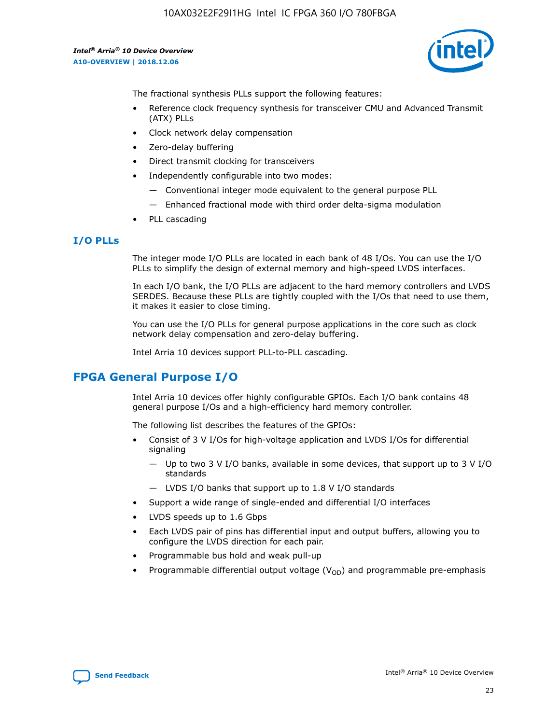

The fractional synthesis PLLs support the following features:

- Reference clock frequency synthesis for transceiver CMU and Advanced Transmit (ATX) PLLs
- Clock network delay compensation
- Zero-delay buffering
- Direct transmit clocking for transceivers
- Independently configurable into two modes:
	- Conventional integer mode equivalent to the general purpose PLL
	- Enhanced fractional mode with third order delta-sigma modulation
- PLL cascading

# **I/O PLLs**

The integer mode I/O PLLs are located in each bank of 48 I/Os. You can use the I/O PLLs to simplify the design of external memory and high-speed LVDS interfaces.

In each I/O bank, the I/O PLLs are adjacent to the hard memory controllers and LVDS SERDES. Because these PLLs are tightly coupled with the I/Os that need to use them, it makes it easier to close timing.

You can use the I/O PLLs for general purpose applications in the core such as clock network delay compensation and zero-delay buffering.

Intel Arria 10 devices support PLL-to-PLL cascading.

# **FPGA General Purpose I/O**

Intel Arria 10 devices offer highly configurable GPIOs. Each I/O bank contains 48 general purpose I/Os and a high-efficiency hard memory controller.

The following list describes the features of the GPIOs:

- Consist of 3 V I/Os for high-voltage application and LVDS I/Os for differential signaling
	- Up to two 3 V I/O banks, available in some devices, that support up to 3 V I/O standards
	- LVDS I/O banks that support up to 1.8 V I/O standards
- Support a wide range of single-ended and differential I/O interfaces
- LVDS speeds up to 1.6 Gbps
- Each LVDS pair of pins has differential input and output buffers, allowing you to configure the LVDS direction for each pair.
- Programmable bus hold and weak pull-up
- Programmable differential output voltage  $(V_{OD})$  and programmable pre-emphasis

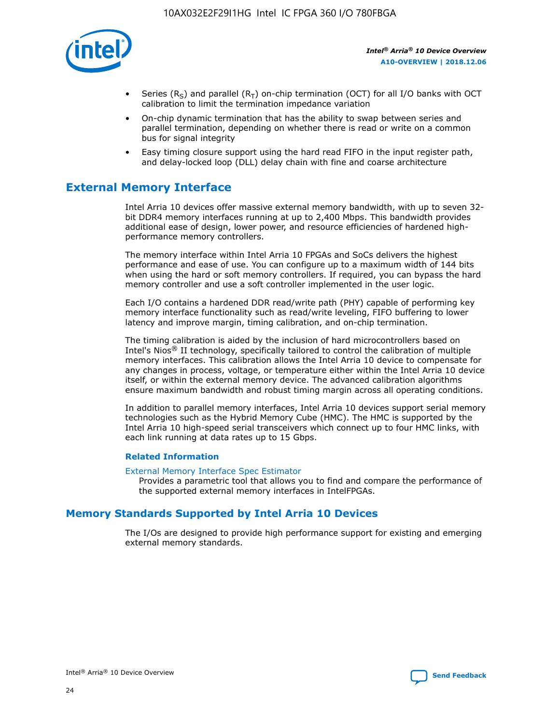

- Series (R<sub>S</sub>) and parallel (R<sub>T</sub>) on-chip termination (OCT) for all I/O banks with OCT calibration to limit the termination impedance variation
- On-chip dynamic termination that has the ability to swap between series and parallel termination, depending on whether there is read or write on a common bus for signal integrity
- Easy timing closure support using the hard read FIFO in the input register path, and delay-locked loop (DLL) delay chain with fine and coarse architecture

# **External Memory Interface**

Intel Arria 10 devices offer massive external memory bandwidth, with up to seven 32 bit DDR4 memory interfaces running at up to 2,400 Mbps. This bandwidth provides additional ease of design, lower power, and resource efficiencies of hardened highperformance memory controllers.

The memory interface within Intel Arria 10 FPGAs and SoCs delivers the highest performance and ease of use. You can configure up to a maximum width of 144 bits when using the hard or soft memory controllers. If required, you can bypass the hard memory controller and use a soft controller implemented in the user logic.

Each I/O contains a hardened DDR read/write path (PHY) capable of performing key memory interface functionality such as read/write leveling, FIFO buffering to lower latency and improve margin, timing calibration, and on-chip termination.

The timing calibration is aided by the inclusion of hard microcontrollers based on Intel's Nios® II technology, specifically tailored to control the calibration of multiple memory interfaces. This calibration allows the Intel Arria 10 device to compensate for any changes in process, voltage, or temperature either within the Intel Arria 10 device itself, or within the external memory device. The advanced calibration algorithms ensure maximum bandwidth and robust timing margin across all operating conditions.

In addition to parallel memory interfaces, Intel Arria 10 devices support serial memory technologies such as the Hybrid Memory Cube (HMC). The HMC is supported by the Intel Arria 10 high-speed serial transceivers which connect up to four HMC links, with each link running at data rates up to 15 Gbps.

#### **Related Information**

#### [External Memory Interface Spec Estimator](http://www.altera.com/technology/memory/estimator/mem-emif-index.html)

Provides a parametric tool that allows you to find and compare the performance of the supported external memory interfaces in IntelFPGAs.

# **Memory Standards Supported by Intel Arria 10 Devices**

The I/Os are designed to provide high performance support for existing and emerging external memory standards.

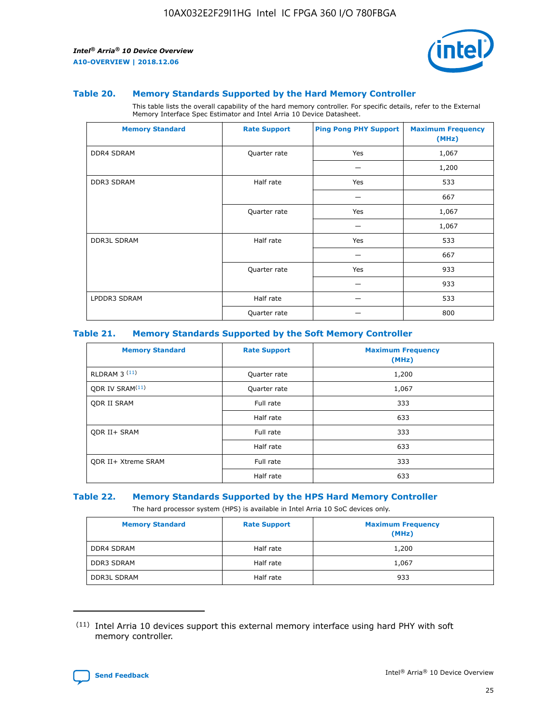

#### **Table 20. Memory Standards Supported by the Hard Memory Controller**

This table lists the overall capability of the hard memory controller. For specific details, refer to the External Memory Interface Spec Estimator and Intel Arria 10 Device Datasheet.

| <b>Memory Standard</b> | <b>Rate Support</b> | <b>Ping Pong PHY Support</b> | <b>Maximum Frequency</b><br>(MHz) |
|------------------------|---------------------|------------------------------|-----------------------------------|
| <b>DDR4 SDRAM</b>      | Quarter rate        | Yes                          | 1,067                             |
|                        |                     |                              | 1,200                             |
| DDR3 SDRAM             | Half rate           | Yes                          | 533                               |
|                        |                     |                              | 667                               |
|                        | Quarter rate        | Yes                          | 1,067                             |
|                        |                     |                              | 1,067                             |
| <b>DDR3L SDRAM</b>     | Half rate           | Yes                          | 533                               |
|                        |                     |                              | 667                               |
|                        | Quarter rate        | Yes                          | 933                               |
|                        |                     |                              | 933                               |
| LPDDR3 SDRAM           | Half rate           |                              | 533                               |
|                        | Quarter rate        |                              | 800                               |

#### **Table 21. Memory Standards Supported by the Soft Memory Controller**

| <b>Memory Standard</b>      | <b>Rate Support</b> | <b>Maximum Frequency</b><br>(MHz) |
|-----------------------------|---------------------|-----------------------------------|
| <b>RLDRAM 3 (11)</b>        | Quarter rate        | 1,200                             |
| ODR IV SRAM <sup>(11)</sup> | Quarter rate        | 1,067                             |
| <b>ODR II SRAM</b>          | Full rate           | 333                               |
|                             | Half rate           | 633                               |
| <b>ODR II+ SRAM</b>         | Full rate           | 333                               |
|                             | Half rate           | 633                               |
| <b>ODR II+ Xtreme SRAM</b>  | Full rate           | 333                               |
|                             | Half rate           | 633                               |

#### **Table 22. Memory Standards Supported by the HPS Hard Memory Controller**

The hard processor system (HPS) is available in Intel Arria 10 SoC devices only.

| <b>Memory Standard</b> | <b>Rate Support</b> | <b>Maximum Frequency</b><br>(MHz) |
|------------------------|---------------------|-----------------------------------|
| <b>DDR4 SDRAM</b>      | Half rate           | 1,200                             |
| DDR3 SDRAM             | Half rate           | 1,067                             |
| <b>DDR3L SDRAM</b>     | Half rate           | 933                               |

<sup>(11)</sup> Intel Arria 10 devices support this external memory interface using hard PHY with soft memory controller.

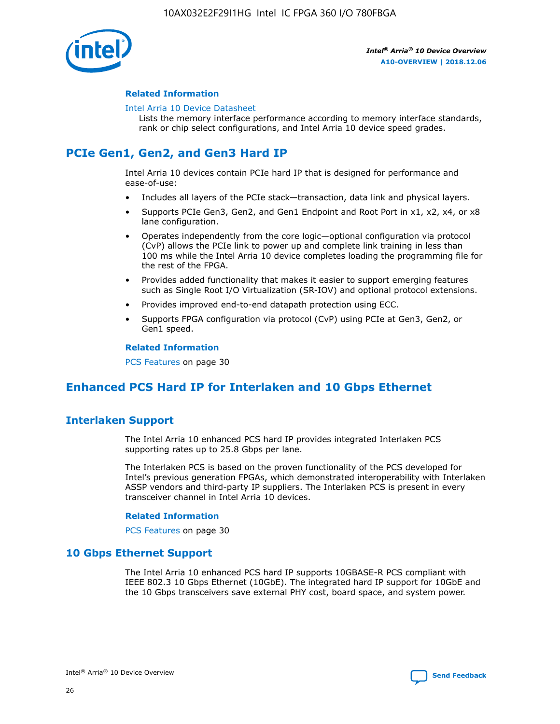

#### **Related Information**

#### [Intel Arria 10 Device Datasheet](https://www.intel.com/content/www/us/en/programmable/documentation/mcn1413182292568.html#mcn1413182153340)

Lists the memory interface performance according to memory interface standards, rank or chip select configurations, and Intel Arria 10 device speed grades.

# **PCIe Gen1, Gen2, and Gen3 Hard IP**

Intel Arria 10 devices contain PCIe hard IP that is designed for performance and ease-of-use:

- Includes all layers of the PCIe stack—transaction, data link and physical layers.
- Supports PCIe Gen3, Gen2, and Gen1 Endpoint and Root Port in x1, x2, x4, or x8 lane configuration.
- Operates independently from the core logic—optional configuration via protocol (CvP) allows the PCIe link to power up and complete link training in less than 100 ms while the Intel Arria 10 device completes loading the programming file for the rest of the FPGA.
- Provides added functionality that makes it easier to support emerging features such as Single Root I/O Virtualization (SR-IOV) and optional protocol extensions.
- Provides improved end-to-end datapath protection using ECC.
- Supports FPGA configuration via protocol (CvP) using PCIe at Gen3, Gen2, or Gen1 speed.

#### **Related Information**

PCS Features on page 30

# **Enhanced PCS Hard IP for Interlaken and 10 Gbps Ethernet**

# **Interlaken Support**

The Intel Arria 10 enhanced PCS hard IP provides integrated Interlaken PCS supporting rates up to 25.8 Gbps per lane.

The Interlaken PCS is based on the proven functionality of the PCS developed for Intel's previous generation FPGAs, which demonstrated interoperability with Interlaken ASSP vendors and third-party IP suppliers. The Interlaken PCS is present in every transceiver channel in Intel Arria 10 devices.

#### **Related Information**

PCS Features on page 30

# **10 Gbps Ethernet Support**

The Intel Arria 10 enhanced PCS hard IP supports 10GBASE-R PCS compliant with IEEE 802.3 10 Gbps Ethernet (10GbE). The integrated hard IP support for 10GbE and the 10 Gbps transceivers save external PHY cost, board space, and system power.

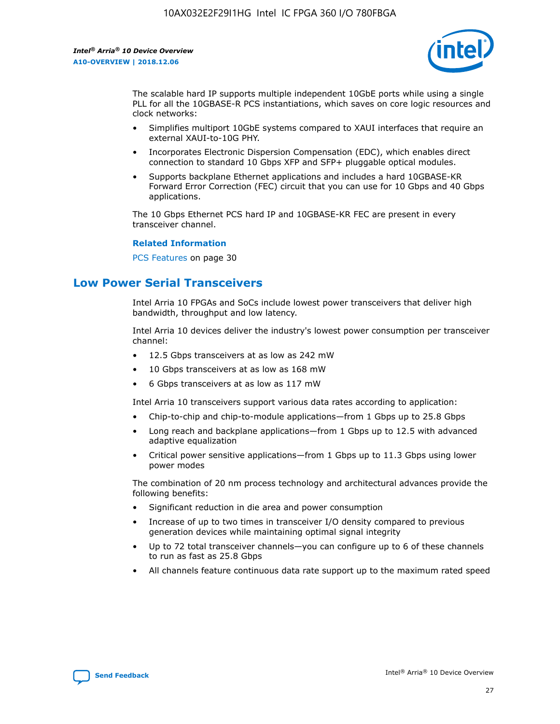

The scalable hard IP supports multiple independent 10GbE ports while using a single PLL for all the 10GBASE-R PCS instantiations, which saves on core logic resources and clock networks:

- Simplifies multiport 10GbE systems compared to XAUI interfaces that require an external XAUI-to-10G PHY.
- Incorporates Electronic Dispersion Compensation (EDC), which enables direct connection to standard 10 Gbps XFP and SFP+ pluggable optical modules.
- Supports backplane Ethernet applications and includes a hard 10GBASE-KR Forward Error Correction (FEC) circuit that you can use for 10 Gbps and 40 Gbps applications.

The 10 Gbps Ethernet PCS hard IP and 10GBASE-KR FEC are present in every transceiver channel.

#### **Related Information**

PCS Features on page 30

# **Low Power Serial Transceivers**

Intel Arria 10 FPGAs and SoCs include lowest power transceivers that deliver high bandwidth, throughput and low latency.

Intel Arria 10 devices deliver the industry's lowest power consumption per transceiver channel:

- 12.5 Gbps transceivers at as low as 242 mW
- 10 Gbps transceivers at as low as 168 mW
- 6 Gbps transceivers at as low as 117 mW

Intel Arria 10 transceivers support various data rates according to application:

- Chip-to-chip and chip-to-module applications—from 1 Gbps up to 25.8 Gbps
- Long reach and backplane applications—from 1 Gbps up to 12.5 with advanced adaptive equalization
- Critical power sensitive applications—from 1 Gbps up to 11.3 Gbps using lower power modes

The combination of 20 nm process technology and architectural advances provide the following benefits:

- Significant reduction in die area and power consumption
- Increase of up to two times in transceiver I/O density compared to previous generation devices while maintaining optimal signal integrity
- Up to 72 total transceiver channels—you can configure up to 6 of these channels to run as fast as 25.8 Gbps
- All channels feature continuous data rate support up to the maximum rated speed

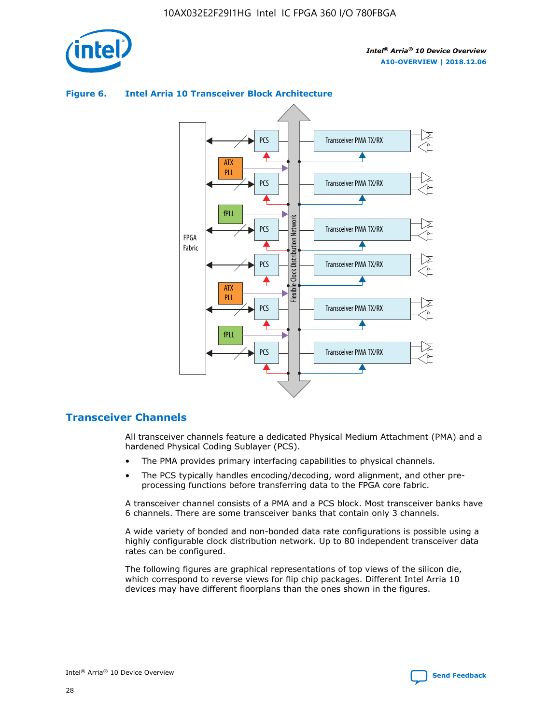

# Transceiver PMA TX/RX PCS ATX PLL Transceiver PMA TX/RX PCS fPLL Network Flexible Clock Distribution Network PCS Transceiver PMA TX/RX FPGA **Clock Distribution** Fabric PCS Transceiver PMA TX/RX ATX Flexible PLL PCS Transceiver PMA TX/RX ▲ fPLL Transceiver PMA TX/RX PCS 4

## **Figure 6. Intel Arria 10 Transceiver Block Architecture**

# **Transceiver Channels**

All transceiver channels feature a dedicated Physical Medium Attachment (PMA) and a hardened Physical Coding Sublayer (PCS).

- The PMA provides primary interfacing capabilities to physical channels.
- The PCS typically handles encoding/decoding, word alignment, and other preprocessing functions before transferring data to the FPGA core fabric.

A transceiver channel consists of a PMA and a PCS block. Most transceiver banks have 6 channels. There are some transceiver banks that contain only 3 channels.

A wide variety of bonded and non-bonded data rate configurations is possible using a highly configurable clock distribution network. Up to 80 independent transceiver data rates can be configured.

The following figures are graphical representations of top views of the silicon die, which correspond to reverse views for flip chip packages. Different Intel Arria 10 devices may have different floorplans than the ones shown in the figures.

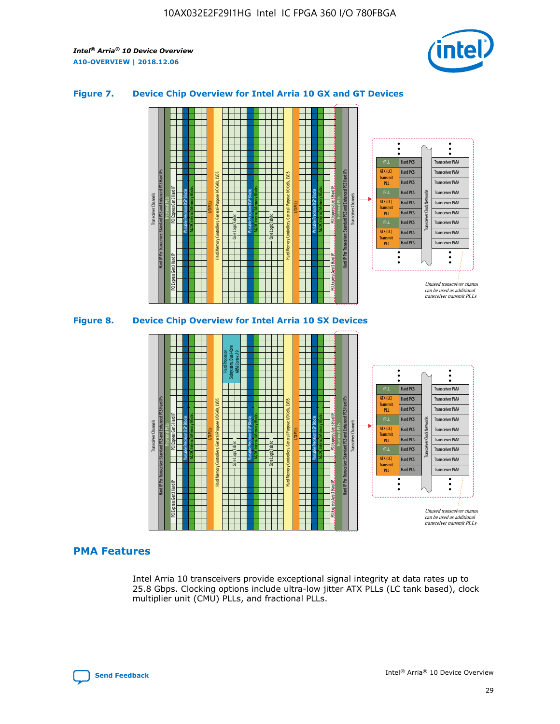

## **Figure 7. Device Chip Overview for Intel Arria 10 GX and GT Devices**



M20K Internal Memory Blocks Core Logic Fabric Transceiver Channels Hard IP Per Transceiver: Standard PCS and Enhanced PCS Hard IPs PCI Express Gen3 Hard IP Fractional PLLs M20K Internal Memory Blocks PCI Express Gen3 Hard IP Variable Precision DSP Blocks I/O PLLs Hard Memory Controllers, General-Purpose I/O Cells, LVDS Hard Processor Subsystem, Dual-Core ARM Cortex A9 M20K Internal Memory Blocks Variable Precision DSP Blocks M20K Internal Memory Blocks Core Logic Fabric I/O PLLs Hard Memory Controllers, General-Purpose I/O Cells, LVDS M20K Internal Memory Blocks Variable Precision DSP Blocks M20K Internal Memory Blocks Transceiver Channels Hard IP Per Transceiver: Standard PCS and Enhanced PCS Hard IPs PCI Express Gen3 Hard IP Fractional PLLs PCI Express Gen3 Hard IP Hard PCS Hard PCS Hard PCS Hard PCS Hard PCS Hard PCS Hard PCS Hard PCS Transceiver PMA Transceiver PMA Transceiver PMA Transceiver PMA Transceiver PMA Transceiver PMA Unused transceiver chann can be used as additional transceiver transmit PLLs Transceiver PMA Transceiver PMA Transceiver Clock Networks ATX (LC) **Transmit** PLL fPLL ATX (LC) Transmi PLL fPLL ATX (LC) **Transmit** PLL

# **PMA Features**

Intel Arria 10 transceivers provide exceptional signal integrity at data rates up to 25.8 Gbps. Clocking options include ultra-low jitter ATX PLLs (LC tank based), clock multiplier unit (CMU) PLLs, and fractional PLLs.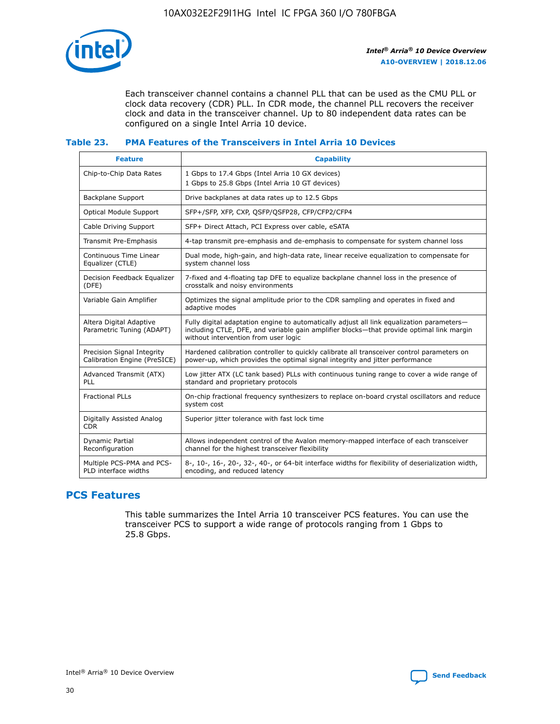

Each transceiver channel contains a channel PLL that can be used as the CMU PLL or clock data recovery (CDR) PLL. In CDR mode, the channel PLL recovers the receiver clock and data in the transceiver channel. Up to 80 independent data rates can be configured on a single Intel Arria 10 device.

## **Table 23. PMA Features of the Transceivers in Intel Arria 10 Devices**

| <b>Feature</b>                                             | <b>Capability</b>                                                                                                                                                                                                             |
|------------------------------------------------------------|-------------------------------------------------------------------------------------------------------------------------------------------------------------------------------------------------------------------------------|
| Chip-to-Chip Data Rates                                    | 1 Gbps to 17.4 Gbps (Intel Arria 10 GX devices)<br>1 Gbps to 25.8 Gbps (Intel Arria 10 GT devices)                                                                                                                            |
| <b>Backplane Support</b>                                   | Drive backplanes at data rates up to 12.5 Gbps                                                                                                                                                                                |
| <b>Optical Module Support</b>                              | SFP+/SFP, XFP, CXP, QSFP/QSFP28, CFP/CFP2/CFP4                                                                                                                                                                                |
| Cable Driving Support                                      | SFP+ Direct Attach, PCI Express over cable, eSATA                                                                                                                                                                             |
| Transmit Pre-Emphasis                                      | 4-tap transmit pre-emphasis and de-emphasis to compensate for system channel loss                                                                                                                                             |
| Continuous Time Linear<br>Equalizer (CTLE)                 | Dual mode, high-gain, and high-data rate, linear receive equalization to compensate for<br>system channel loss                                                                                                                |
| Decision Feedback Equalizer<br>(DFE)                       | 7-fixed and 4-floating tap DFE to equalize backplane channel loss in the presence of<br>crosstalk and noisy environments                                                                                                      |
| Variable Gain Amplifier                                    | Optimizes the signal amplitude prior to the CDR sampling and operates in fixed and<br>adaptive modes                                                                                                                          |
| Altera Digital Adaptive<br>Parametric Tuning (ADAPT)       | Fully digital adaptation engine to automatically adjust all link equalization parameters-<br>including CTLE, DFE, and variable gain amplifier blocks—that provide optimal link margin<br>without intervention from user logic |
| Precision Signal Integrity<br>Calibration Engine (PreSICE) | Hardened calibration controller to quickly calibrate all transceiver control parameters on<br>power-up, which provides the optimal signal integrity and jitter performance                                                    |
| Advanced Transmit (ATX)<br>PLL                             | Low jitter ATX (LC tank based) PLLs with continuous tuning range to cover a wide range of<br>standard and proprietary protocols                                                                                               |
| <b>Fractional PLLs</b>                                     | On-chip fractional frequency synthesizers to replace on-board crystal oscillators and reduce<br>system cost                                                                                                                   |
| Digitally Assisted Analog<br><b>CDR</b>                    | Superior jitter tolerance with fast lock time                                                                                                                                                                                 |
| Dynamic Partial<br>Reconfiguration                         | Allows independent control of the Avalon memory-mapped interface of each transceiver<br>channel for the highest transceiver flexibility                                                                                       |
| Multiple PCS-PMA and PCS-<br>PLD interface widths          | 8-, 10-, 16-, 20-, 32-, 40-, or 64-bit interface widths for flexibility of deserialization width,<br>encoding, and reduced latency                                                                                            |

# **PCS Features**

This table summarizes the Intel Arria 10 transceiver PCS features. You can use the transceiver PCS to support a wide range of protocols ranging from 1 Gbps to 25.8 Gbps.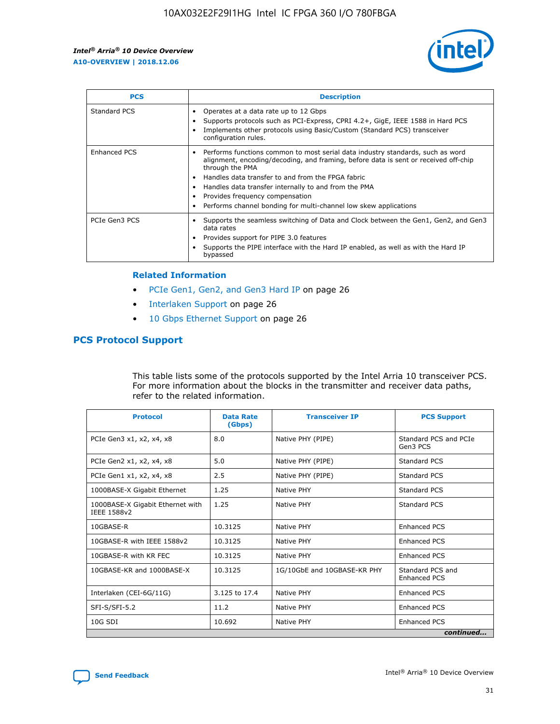

| <b>PCS</b>    | <b>Description</b>                                                                                                                                                                                                                                                                                                                                                                                             |
|---------------|----------------------------------------------------------------------------------------------------------------------------------------------------------------------------------------------------------------------------------------------------------------------------------------------------------------------------------------------------------------------------------------------------------------|
| Standard PCS  | Operates at a data rate up to 12 Gbps<br>Supports protocols such as PCI-Express, CPRI 4.2+, GigE, IEEE 1588 in Hard PCS<br>Implements other protocols using Basic/Custom (Standard PCS) transceiver<br>configuration rules.                                                                                                                                                                                    |
| Enhanced PCS  | Performs functions common to most serial data industry standards, such as word<br>alignment, encoding/decoding, and framing, before data is sent or received off-chip<br>through the PMA<br>• Handles data transfer to and from the FPGA fabric<br>Handles data transfer internally to and from the PMA<br>Provides frequency compensation<br>Performs channel bonding for multi-channel low skew applications |
| PCIe Gen3 PCS | Supports the seamless switching of Data and Clock between the Gen1, Gen2, and Gen3<br>data rates<br>Provides support for PIPE 3.0 features<br>Supports the PIPE interface with the Hard IP enabled, as well as with the Hard IP<br>bypassed                                                                                                                                                                    |

#### **Related Information**

- PCIe Gen1, Gen2, and Gen3 Hard IP on page 26
- Interlaken Support on page 26
- 10 Gbps Ethernet Support on page 26

# **PCS Protocol Support**

This table lists some of the protocols supported by the Intel Arria 10 transceiver PCS. For more information about the blocks in the transmitter and receiver data paths, refer to the related information.

| <b>Protocol</b>                                 | <b>Data Rate</b><br>(Gbps) | <b>Transceiver IP</b>       | <b>PCS Support</b>                      |
|-------------------------------------------------|----------------------------|-----------------------------|-----------------------------------------|
| PCIe Gen3 x1, x2, x4, x8                        | 8.0                        | Native PHY (PIPE)           | Standard PCS and PCIe<br>Gen3 PCS       |
| PCIe Gen2 x1, x2, x4, x8                        | 5.0                        | Native PHY (PIPE)           | <b>Standard PCS</b>                     |
| PCIe Gen1 x1, x2, x4, x8                        | 2.5                        | Native PHY (PIPE)           | Standard PCS                            |
| 1000BASE-X Gigabit Ethernet                     | 1.25                       | Native PHY                  | <b>Standard PCS</b>                     |
| 1000BASE-X Gigabit Ethernet with<br>IEEE 1588v2 | 1.25                       | Native PHY                  | Standard PCS                            |
| 10GBASE-R                                       | 10.3125                    | Native PHY                  | <b>Enhanced PCS</b>                     |
| 10GBASE-R with IEEE 1588v2                      | 10.3125                    | Native PHY                  | <b>Enhanced PCS</b>                     |
| 10GBASE-R with KR FEC                           | 10.3125                    | Native PHY                  | <b>Enhanced PCS</b>                     |
| 10GBASE-KR and 1000BASE-X                       | 10.3125                    | 1G/10GbE and 10GBASE-KR PHY | Standard PCS and<br><b>Enhanced PCS</b> |
| Interlaken (CEI-6G/11G)                         | 3.125 to 17.4              | Native PHY                  | <b>Enhanced PCS</b>                     |
| SFI-S/SFI-5.2                                   | 11.2                       | Native PHY                  | <b>Enhanced PCS</b>                     |
| 10G SDI                                         | 10.692                     | Native PHY                  | <b>Enhanced PCS</b>                     |
|                                                 |                            |                             | continued                               |

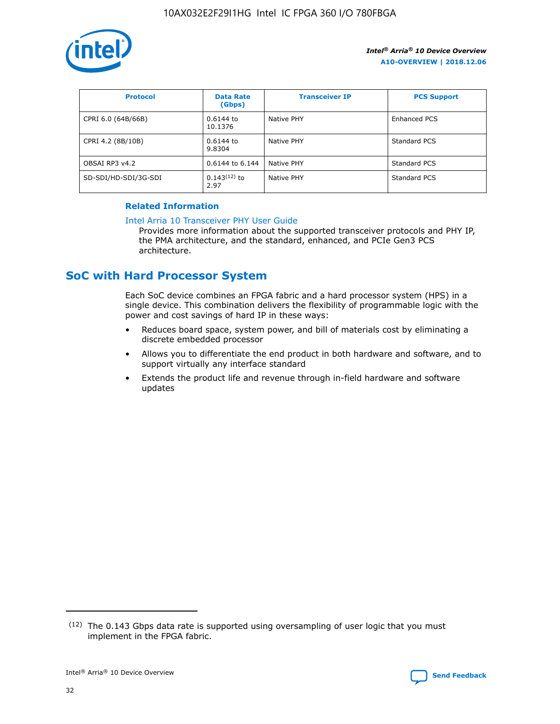

| <b>Protocol</b>      | <b>Data Rate</b><br>(Gbps) | <b>Transceiver IP</b> | <b>PCS Support</b> |
|----------------------|----------------------------|-----------------------|--------------------|
| CPRI 6.0 (64B/66B)   | 0.6144 to<br>10.1376       | Native PHY            | Enhanced PCS       |
| CPRI 4.2 (8B/10B)    | 0.6144 to<br>9.8304        | Native PHY            | Standard PCS       |
| OBSAI RP3 v4.2       | 0.6144 to 6.144            | Native PHY            | Standard PCS       |
| SD-SDI/HD-SDI/3G-SDI | $0.143(12)$ to<br>2.97     | Native PHY            | Standard PCS       |

# **Related Information**

#### [Intel Arria 10 Transceiver PHY User Guide](https://www.intel.com/content/www/us/en/programmable/documentation/nik1398707230472.html#nik1398707091164)

Provides more information about the supported transceiver protocols and PHY IP, the PMA architecture, and the standard, enhanced, and PCIe Gen3 PCS architecture.

# **SoC with Hard Processor System**

Each SoC device combines an FPGA fabric and a hard processor system (HPS) in a single device. This combination delivers the flexibility of programmable logic with the power and cost savings of hard IP in these ways:

- Reduces board space, system power, and bill of materials cost by eliminating a discrete embedded processor
- Allows you to differentiate the end product in both hardware and software, and to support virtually any interface standard
- Extends the product life and revenue through in-field hardware and software updates

 $(12)$  The 0.143 Gbps data rate is supported using oversampling of user logic that you must implement in the FPGA fabric.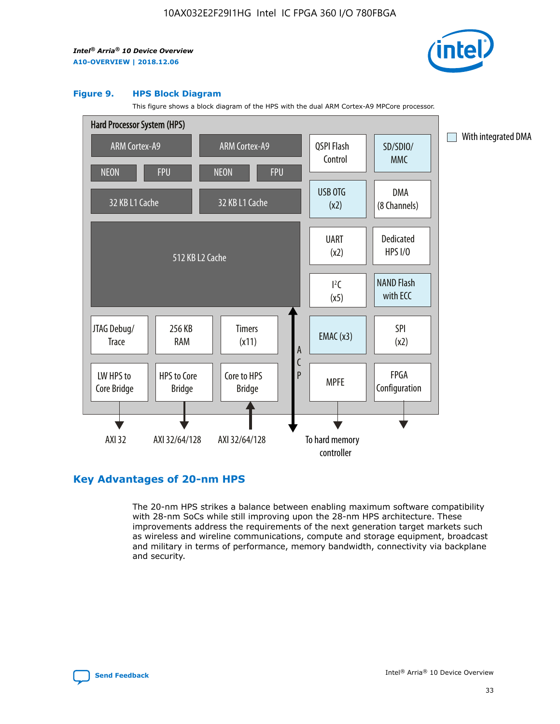

#### **Figure 9. HPS Block Diagram**

This figure shows a block diagram of the HPS with the dual ARM Cortex-A9 MPCore processor.



# **Key Advantages of 20-nm HPS**

The 20-nm HPS strikes a balance between enabling maximum software compatibility with 28-nm SoCs while still improving upon the 28-nm HPS architecture. These improvements address the requirements of the next generation target markets such as wireless and wireline communications, compute and storage equipment, broadcast and military in terms of performance, memory bandwidth, connectivity via backplane and security.

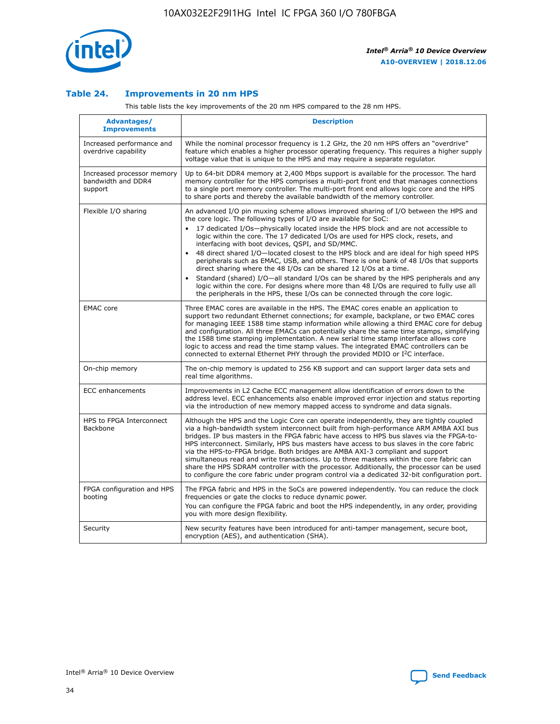

## **Table 24. Improvements in 20 nm HPS**

This table lists the key improvements of the 20 nm HPS compared to the 28 nm HPS.

| Advantages/<br><b>Improvements</b>                          | <b>Description</b>                                                                                                                                                                                                                                                                                                                                                                                                                                                                                                                                                                                                                                                                                                                                                                                                                                                                                                      |
|-------------------------------------------------------------|-------------------------------------------------------------------------------------------------------------------------------------------------------------------------------------------------------------------------------------------------------------------------------------------------------------------------------------------------------------------------------------------------------------------------------------------------------------------------------------------------------------------------------------------------------------------------------------------------------------------------------------------------------------------------------------------------------------------------------------------------------------------------------------------------------------------------------------------------------------------------------------------------------------------------|
| Increased performance and<br>overdrive capability           | While the nominal processor frequency is 1.2 GHz, the 20 nm HPS offers an "overdrive"<br>feature which enables a higher processor operating frequency. This requires a higher supply<br>voltage value that is unique to the HPS and may require a separate regulator.                                                                                                                                                                                                                                                                                                                                                                                                                                                                                                                                                                                                                                                   |
| Increased processor memory<br>bandwidth and DDR4<br>support | Up to 64-bit DDR4 memory at 2,400 Mbps support is available for the processor. The hard<br>memory controller for the HPS comprises a multi-port front end that manages connections<br>to a single port memory controller. The multi-port front end allows logic core and the HPS<br>to share ports and thereby the available bandwidth of the memory controller.                                                                                                                                                                                                                                                                                                                                                                                                                                                                                                                                                        |
| Flexible I/O sharing                                        | An advanced I/O pin muxing scheme allows improved sharing of I/O between the HPS and<br>the core logic. The following types of I/O are available for SoC:<br>17 dedicated I/Os-physically located inside the HPS block and are not accessible to<br>logic within the core. The 17 dedicated I/Os are used for HPS clock, resets, and<br>interfacing with boot devices, QSPI, and SD/MMC.<br>48 direct shared I/O-located closest to the HPS block and are ideal for high speed HPS<br>peripherals such as EMAC, USB, and others. There is one bank of 48 I/Os that supports<br>direct sharing where the 48 I/Os can be shared 12 I/Os at a time.<br>Standard (shared) I/O—all standard I/Os can be shared by the HPS peripherals and any<br>logic within the core. For designs where more than 48 I/Os are required to fully use all<br>the peripherals in the HPS, these I/Os can be connected through the core logic. |
| <b>EMAC</b> core                                            | Three EMAC cores are available in the HPS. The EMAC cores enable an application to<br>support two redundant Ethernet connections; for example, backplane, or two EMAC cores<br>for managing IEEE 1588 time stamp information while allowing a third EMAC core for debug<br>and configuration. All three EMACs can potentially share the same time stamps, simplifying<br>the 1588 time stamping implementation. A new serial time stamp interface allows core<br>logic to access and read the time stamp values. The integrated EMAC controllers can be<br>connected to external Ethernet PHY through the provided MDIO or I <sup>2</sup> C interface.                                                                                                                                                                                                                                                                  |
| On-chip memory                                              | The on-chip memory is updated to 256 KB support and can support larger data sets and<br>real time algorithms.                                                                                                                                                                                                                                                                                                                                                                                                                                                                                                                                                                                                                                                                                                                                                                                                           |
| <b>ECC</b> enhancements                                     | Improvements in L2 Cache ECC management allow identification of errors down to the<br>address level. ECC enhancements also enable improved error injection and status reporting<br>via the introduction of new memory mapped access to syndrome and data signals.                                                                                                                                                                                                                                                                                                                                                                                                                                                                                                                                                                                                                                                       |
| HPS to FPGA Interconnect<br>Backbone                        | Although the HPS and the Logic Core can operate independently, they are tightly coupled<br>via a high-bandwidth system interconnect built from high-performance ARM AMBA AXI bus<br>bridges. IP bus masters in the FPGA fabric have access to HPS bus slaves via the FPGA-to-<br>HPS interconnect. Similarly, HPS bus masters have access to bus slaves in the core fabric<br>via the HPS-to-FPGA bridge. Both bridges are AMBA AXI-3 compliant and support<br>simultaneous read and write transactions. Up to three masters within the core fabric can<br>share the HPS SDRAM controller with the processor. Additionally, the processor can be used<br>to configure the core fabric under program control via a dedicated 32-bit configuration port.                                                                                                                                                                  |
| FPGA configuration and HPS<br>booting                       | The FPGA fabric and HPS in the SoCs are powered independently. You can reduce the clock<br>frequencies or gate the clocks to reduce dynamic power.<br>You can configure the FPGA fabric and boot the HPS independently, in any order, providing<br>you with more design flexibility.                                                                                                                                                                                                                                                                                                                                                                                                                                                                                                                                                                                                                                    |
| Security                                                    | New security features have been introduced for anti-tamper management, secure boot,<br>encryption (AES), and authentication (SHA).                                                                                                                                                                                                                                                                                                                                                                                                                                                                                                                                                                                                                                                                                                                                                                                      |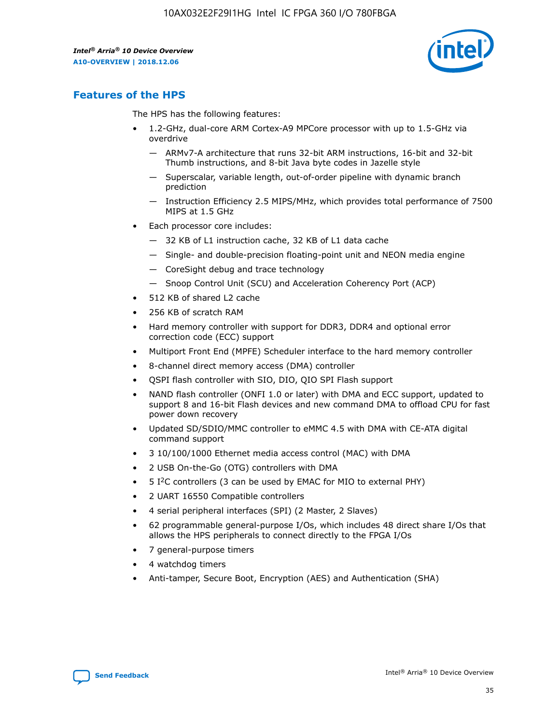

# **Features of the HPS**

The HPS has the following features:

- 1.2-GHz, dual-core ARM Cortex-A9 MPCore processor with up to 1.5-GHz via overdrive
	- ARMv7-A architecture that runs 32-bit ARM instructions, 16-bit and 32-bit Thumb instructions, and 8-bit Java byte codes in Jazelle style
	- Superscalar, variable length, out-of-order pipeline with dynamic branch prediction
	- Instruction Efficiency 2.5 MIPS/MHz, which provides total performance of 7500 MIPS at 1.5 GHz
- Each processor core includes:
	- 32 KB of L1 instruction cache, 32 KB of L1 data cache
	- Single- and double-precision floating-point unit and NEON media engine
	- CoreSight debug and trace technology
	- Snoop Control Unit (SCU) and Acceleration Coherency Port (ACP)
- 512 KB of shared L2 cache
- 256 KB of scratch RAM
- Hard memory controller with support for DDR3, DDR4 and optional error correction code (ECC) support
- Multiport Front End (MPFE) Scheduler interface to the hard memory controller
- 8-channel direct memory access (DMA) controller
- QSPI flash controller with SIO, DIO, QIO SPI Flash support
- NAND flash controller (ONFI 1.0 or later) with DMA and ECC support, updated to support 8 and 16-bit Flash devices and new command DMA to offload CPU for fast power down recovery
- Updated SD/SDIO/MMC controller to eMMC 4.5 with DMA with CE-ATA digital command support
- 3 10/100/1000 Ethernet media access control (MAC) with DMA
- 2 USB On-the-Go (OTG) controllers with DMA
- $\bullet$  5 I<sup>2</sup>C controllers (3 can be used by EMAC for MIO to external PHY)
- 2 UART 16550 Compatible controllers
- 4 serial peripheral interfaces (SPI) (2 Master, 2 Slaves)
- 62 programmable general-purpose I/Os, which includes 48 direct share I/Os that allows the HPS peripherals to connect directly to the FPGA I/Os
- 7 general-purpose timers
- 4 watchdog timers
- Anti-tamper, Secure Boot, Encryption (AES) and Authentication (SHA)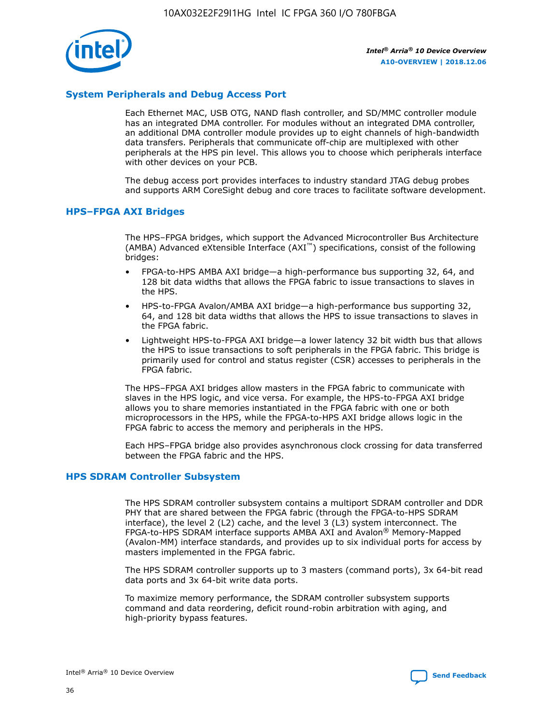

# **System Peripherals and Debug Access Port**

Each Ethernet MAC, USB OTG, NAND flash controller, and SD/MMC controller module has an integrated DMA controller. For modules without an integrated DMA controller, an additional DMA controller module provides up to eight channels of high-bandwidth data transfers. Peripherals that communicate off-chip are multiplexed with other peripherals at the HPS pin level. This allows you to choose which peripherals interface with other devices on your PCB.

The debug access port provides interfaces to industry standard JTAG debug probes and supports ARM CoreSight debug and core traces to facilitate software development.

## **HPS–FPGA AXI Bridges**

The HPS–FPGA bridges, which support the Advanced Microcontroller Bus Architecture (AMBA) Advanced eXtensible Interface (AXI™) specifications, consist of the following bridges:

- FPGA-to-HPS AMBA AXI bridge—a high-performance bus supporting 32, 64, and 128 bit data widths that allows the FPGA fabric to issue transactions to slaves in the HPS.
- HPS-to-FPGA Avalon/AMBA AXI bridge—a high-performance bus supporting 32, 64, and 128 bit data widths that allows the HPS to issue transactions to slaves in the FPGA fabric.
- Lightweight HPS-to-FPGA AXI bridge—a lower latency 32 bit width bus that allows the HPS to issue transactions to soft peripherals in the FPGA fabric. This bridge is primarily used for control and status register (CSR) accesses to peripherals in the FPGA fabric.

The HPS–FPGA AXI bridges allow masters in the FPGA fabric to communicate with slaves in the HPS logic, and vice versa. For example, the HPS-to-FPGA AXI bridge allows you to share memories instantiated in the FPGA fabric with one or both microprocessors in the HPS, while the FPGA-to-HPS AXI bridge allows logic in the FPGA fabric to access the memory and peripherals in the HPS.

Each HPS–FPGA bridge also provides asynchronous clock crossing for data transferred between the FPGA fabric and the HPS.

#### **HPS SDRAM Controller Subsystem**

The HPS SDRAM controller subsystem contains a multiport SDRAM controller and DDR PHY that are shared between the FPGA fabric (through the FPGA-to-HPS SDRAM interface), the level 2 (L2) cache, and the level 3 (L3) system interconnect. The FPGA-to-HPS SDRAM interface supports AMBA AXI and Avalon® Memory-Mapped (Avalon-MM) interface standards, and provides up to six individual ports for access by masters implemented in the FPGA fabric.

The HPS SDRAM controller supports up to 3 masters (command ports), 3x 64-bit read data ports and 3x 64-bit write data ports.

To maximize memory performance, the SDRAM controller subsystem supports command and data reordering, deficit round-robin arbitration with aging, and high-priority bypass features.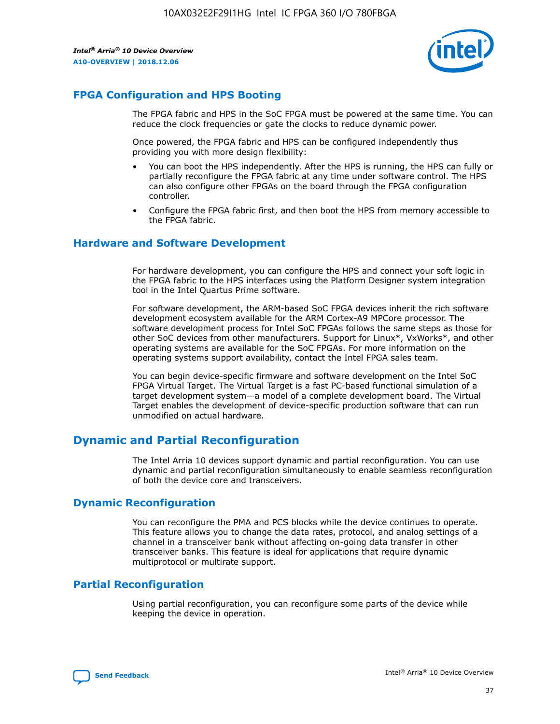

# **FPGA Configuration and HPS Booting**

The FPGA fabric and HPS in the SoC FPGA must be powered at the same time. You can reduce the clock frequencies or gate the clocks to reduce dynamic power.

Once powered, the FPGA fabric and HPS can be configured independently thus providing you with more design flexibility:

- You can boot the HPS independently. After the HPS is running, the HPS can fully or partially reconfigure the FPGA fabric at any time under software control. The HPS can also configure other FPGAs on the board through the FPGA configuration controller.
- Configure the FPGA fabric first, and then boot the HPS from memory accessible to the FPGA fabric.

## **Hardware and Software Development**

For hardware development, you can configure the HPS and connect your soft logic in the FPGA fabric to the HPS interfaces using the Platform Designer system integration tool in the Intel Quartus Prime software.

For software development, the ARM-based SoC FPGA devices inherit the rich software development ecosystem available for the ARM Cortex-A9 MPCore processor. The software development process for Intel SoC FPGAs follows the same steps as those for other SoC devices from other manufacturers. Support for Linux\*, VxWorks\*, and other operating systems are available for the SoC FPGAs. For more information on the operating systems support availability, contact the Intel FPGA sales team.

You can begin device-specific firmware and software development on the Intel SoC FPGA Virtual Target. The Virtual Target is a fast PC-based functional simulation of a target development system—a model of a complete development board. The Virtual Target enables the development of device-specific production software that can run unmodified on actual hardware.

# **Dynamic and Partial Reconfiguration**

The Intel Arria 10 devices support dynamic and partial reconfiguration. You can use dynamic and partial reconfiguration simultaneously to enable seamless reconfiguration of both the device core and transceivers.

# **Dynamic Reconfiguration**

You can reconfigure the PMA and PCS blocks while the device continues to operate. This feature allows you to change the data rates, protocol, and analog settings of a channel in a transceiver bank without affecting on-going data transfer in other transceiver banks. This feature is ideal for applications that require dynamic multiprotocol or multirate support.

# **Partial Reconfiguration**

Using partial reconfiguration, you can reconfigure some parts of the device while keeping the device in operation.

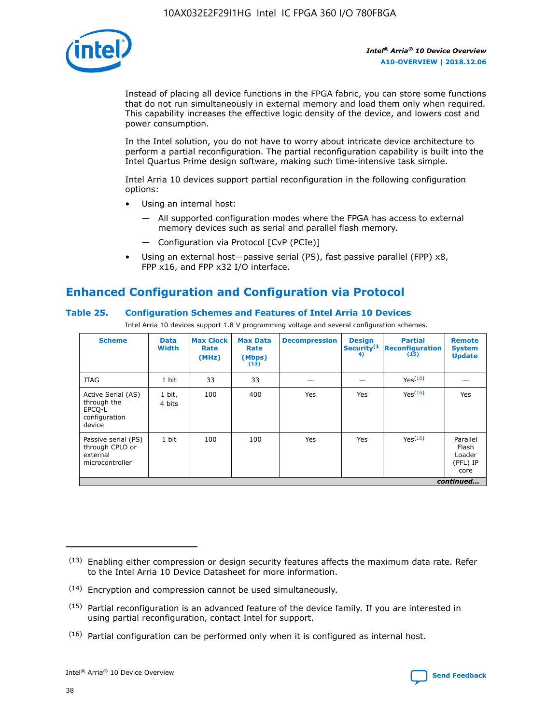

Instead of placing all device functions in the FPGA fabric, you can store some functions that do not run simultaneously in external memory and load them only when required. This capability increases the effective logic density of the device, and lowers cost and power consumption.

In the Intel solution, you do not have to worry about intricate device architecture to perform a partial reconfiguration. The partial reconfiguration capability is built into the Intel Quartus Prime design software, making such time-intensive task simple.

Intel Arria 10 devices support partial reconfiguration in the following configuration options:

- Using an internal host:
	- All supported configuration modes where the FPGA has access to external memory devices such as serial and parallel flash memory.
	- Configuration via Protocol [CvP (PCIe)]
- Using an external host—passive serial (PS), fast passive parallel (FPP) x8, FPP x16, and FPP x32 I/O interface.

# **Enhanced Configuration and Configuration via Protocol**

# **Table 25. Configuration Schemes and Features of Intel Arria 10 Devices**

Intel Arria 10 devices support 1.8 V programming voltage and several configuration schemes.

| <b>Scheme</b>                                                          | <b>Data</b><br><b>Width</b> | <b>Max Clock</b><br>Rate<br>(MHz) | <b>Max Data</b><br>Rate<br>(Mbps)<br>(13) | <b>Decompression</b> | <b>Design</b><br>Security <sup>(1</sup><br>4) | <b>Partial</b><br><b>Reconfiguration</b><br>(15) | <b>Remote</b><br><b>System</b><br><b>Update</b> |
|------------------------------------------------------------------------|-----------------------------|-----------------------------------|-------------------------------------------|----------------------|-----------------------------------------------|--------------------------------------------------|-------------------------------------------------|
| <b>JTAG</b>                                                            | 1 bit                       | 33                                | 33                                        |                      |                                               | Yes(16)                                          |                                                 |
| Active Serial (AS)<br>through the<br>EPCO-L<br>configuration<br>device | 1 bit,<br>4 bits            | 100                               | 400                                       | Yes                  | Yes                                           | $Y_{PS}(16)$                                     | Yes                                             |
| Passive serial (PS)<br>through CPLD or<br>external<br>microcontroller  | 1 bit                       | 100                               | 100                                       | Yes                  | Yes                                           | Yes(16)                                          | Parallel<br>Flash<br>Loader<br>(PFL) IP<br>core |
|                                                                        |                             |                                   |                                           |                      |                                               |                                                  | continued                                       |

<sup>(13)</sup> Enabling either compression or design security features affects the maximum data rate. Refer to the Intel Arria 10 Device Datasheet for more information.

<sup>(14)</sup> Encryption and compression cannot be used simultaneously.

 $<sup>(15)</sup>$  Partial reconfiguration is an advanced feature of the device family. If you are interested in</sup> using partial reconfiguration, contact Intel for support.

 $(16)$  Partial configuration can be performed only when it is configured as internal host.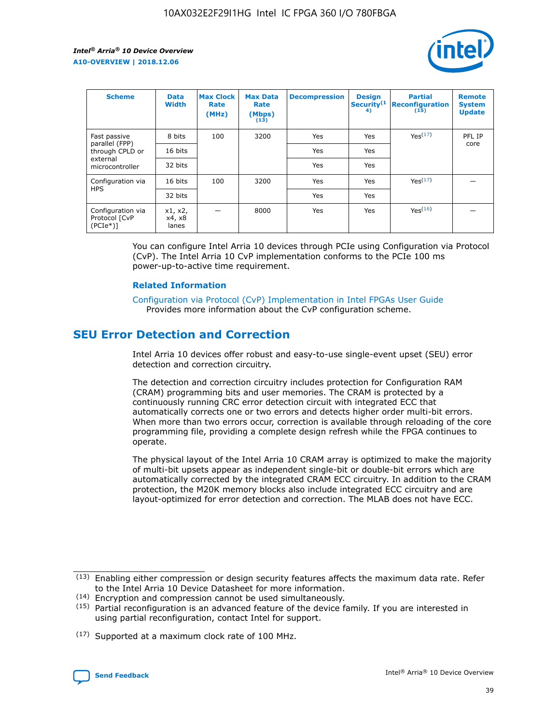

| <b>Scheme</b>                                    | <b>Data</b><br><b>Width</b> | <b>Max Clock</b><br>Rate<br>(MHz) | <b>Max Data</b><br>Rate<br>(Mbps)<br>(13) | <b>Decompression</b> | <b>Design</b><br>Security <sup>(1</sup><br>4) | <b>Partial</b><br><b>Reconfiguration</b><br>(15) | <b>Remote</b><br><b>System</b><br><b>Update</b> |
|--------------------------------------------------|-----------------------------|-----------------------------------|-------------------------------------------|----------------------|-----------------------------------------------|--------------------------------------------------|-------------------------------------------------|
| Fast passive                                     | 8 bits                      | 100                               | 3200                                      | <b>Yes</b>           | Yes                                           | Yes(17)                                          | PFL IP                                          |
| parallel (FPP)<br>through CPLD or                | 16 bits                     |                                   |                                           | Yes                  | Yes                                           |                                                  | core                                            |
| external<br>microcontroller                      | 32 bits                     |                                   |                                           | Yes                  | Yes                                           |                                                  |                                                 |
| Configuration via                                | 16 bits                     | 100                               | 3200                                      | Yes                  | Yes                                           | Yes <sup>(17)</sup>                              |                                                 |
| <b>HPS</b>                                       | 32 bits                     |                                   |                                           | Yes                  | Yes                                           |                                                  |                                                 |
| Configuration via<br>Protocol [CvP<br>$(PCIe^*)$ | x1, x2,<br>x4, x8<br>lanes  |                                   | 8000                                      | Yes                  | Yes                                           | Yes <sup>(16)</sup>                              |                                                 |

You can configure Intel Arria 10 devices through PCIe using Configuration via Protocol (CvP). The Intel Arria 10 CvP implementation conforms to the PCIe 100 ms power-up-to-active time requirement.

#### **Related Information**

[Configuration via Protocol \(CvP\) Implementation in Intel FPGAs User Guide](https://www.intel.com/content/www/us/en/programmable/documentation/dsu1441819344145.html#dsu1442269728522) Provides more information about the CvP configuration scheme.

# **SEU Error Detection and Correction**

Intel Arria 10 devices offer robust and easy-to-use single-event upset (SEU) error detection and correction circuitry.

The detection and correction circuitry includes protection for Configuration RAM (CRAM) programming bits and user memories. The CRAM is protected by a continuously running CRC error detection circuit with integrated ECC that automatically corrects one or two errors and detects higher order multi-bit errors. When more than two errors occur, correction is available through reloading of the core programming file, providing a complete design refresh while the FPGA continues to operate.

The physical layout of the Intel Arria 10 CRAM array is optimized to make the majority of multi-bit upsets appear as independent single-bit or double-bit errors which are automatically corrected by the integrated CRAM ECC circuitry. In addition to the CRAM protection, the M20K memory blocks also include integrated ECC circuitry and are layout-optimized for error detection and correction. The MLAB does not have ECC.

(14) Encryption and compression cannot be used simultaneously.

<sup>(17)</sup> Supported at a maximum clock rate of 100 MHz.



 $(13)$  Enabling either compression or design security features affects the maximum data rate. Refer to the Intel Arria 10 Device Datasheet for more information.

 $(15)$  Partial reconfiguration is an advanced feature of the device family. If you are interested in using partial reconfiguration, contact Intel for support.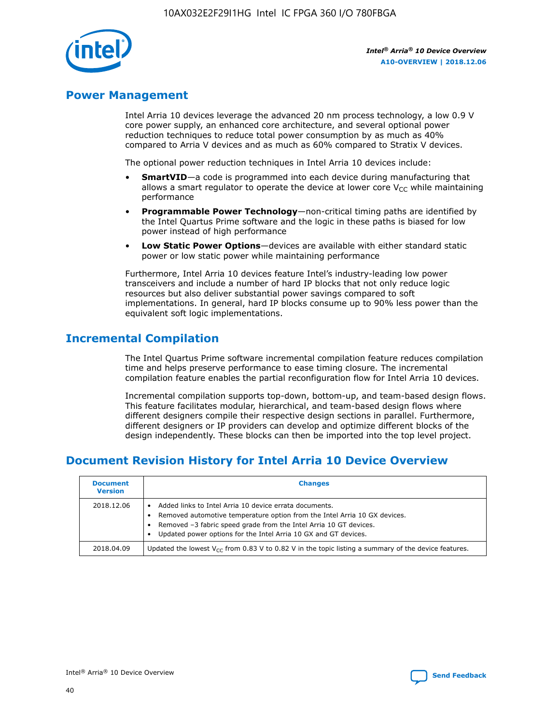

# **Power Management**

Intel Arria 10 devices leverage the advanced 20 nm process technology, a low 0.9 V core power supply, an enhanced core architecture, and several optional power reduction techniques to reduce total power consumption by as much as 40% compared to Arria V devices and as much as 60% compared to Stratix V devices.

The optional power reduction techniques in Intel Arria 10 devices include:

- **SmartVID**—a code is programmed into each device during manufacturing that allows a smart regulator to operate the device at lower core  $V_{CC}$  while maintaining performance
- **Programmable Power Technology**—non-critical timing paths are identified by the Intel Quartus Prime software and the logic in these paths is biased for low power instead of high performance
- **Low Static Power Options**—devices are available with either standard static power or low static power while maintaining performance

Furthermore, Intel Arria 10 devices feature Intel's industry-leading low power transceivers and include a number of hard IP blocks that not only reduce logic resources but also deliver substantial power savings compared to soft implementations. In general, hard IP blocks consume up to 90% less power than the equivalent soft logic implementations.

# **Incremental Compilation**

The Intel Quartus Prime software incremental compilation feature reduces compilation time and helps preserve performance to ease timing closure. The incremental compilation feature enables the partial reconfiguration flow for Intel Arria 10 devices.

Incremental compilation supports top-down, bottom-up, and team-based design flows. This feature facilitates modular, hierarchical, and team-based design flows where different designers compile their respective design sections in parallel. Furthermore, different designers or IP providers can develop and optimize different blocks of the design independently. These blocks can then be imported into the top level project.

# **Document Revision History for Intel Arria 10 Device Overview**

| <b>Document</b><br><b>Version</b> | <b>Changes</b>                                                                                                                                                                                                                                                              |
|-----------------------------------|-----------------------------------------------------------------------------------------------------------------------------------------------------------------------------------------------------------------------------------------------------------------------------|
| 2018.12.06                        | Added links to Intel Arria 10 device errata documents.<br>Removed automotive temperature option from the Intel Arria 10 GX devices.<br>Removed -3 fabric speed grade from the Intel Arria 10 GT devices.<br>Updated power options for the Intel Arria 10 GX and GT devices. |
| 2018.04.09                        | Updated the lowest $V_{CC}$ from 0.83 V to 0.82 V in the topic listing a summary of the device features.                                                                                                                                                                    |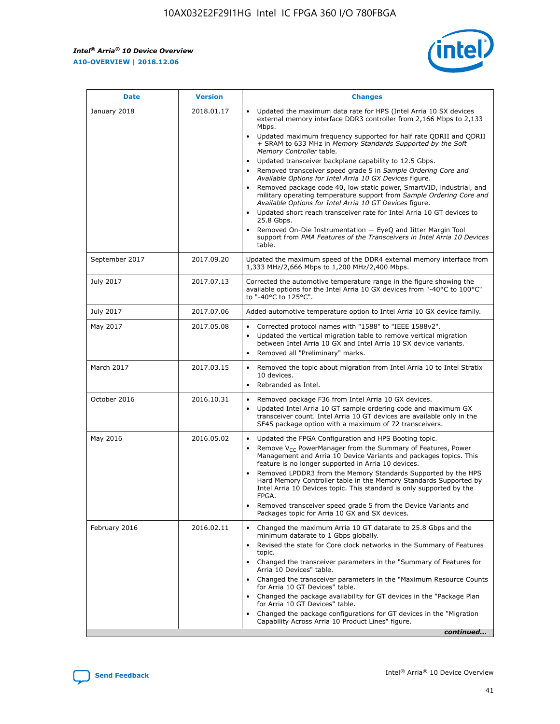$\overline{\phantom{a}}$ 

 $\mathsf{r}$ 



| January 2018<br>Updated the maximum data rate for HPS (Intel Arria 10 SX devices<br>2018.01.17<br>external memory interface DDR3 controller from 2,166 Mbps to 2,133<br>Mbps.<br>$\bullet$<br>+ SRAM to 633 MHz in Memory Standards Supported by the Soft<br>Memory Controller table.<br>Updated transceiver backplane capability to 12.5 Gbps.<br>$\bullet$<br>Removed transceiver speed grade 5 in Sample Ordering Core and<br>Available Options for Intel Arria 10 GX Devices figure.<br>Available Options for Intel Arria 10 GT Devices figure.<br>Updated short reach transceiver rate for Intel Arria 10 GT devices to<br>$\bullet$<br>25.8 Gbps.<br>Removed On-Die Instrumentation - EyeQ and Jitter Margin Tool<br>table.<br>2017.09.20<br>September 2017<br>1,333 MHz/2,666 Mbps to 1,200 MHz/2,400 Mbps.<br>July 2017<br>2017.07.13<br>Corrected the automotive temperature range in the figure showing the<br>available options for the Intel Arria 10 GX devices from "-40°C to 100°C"<br>to "-40°C to 125°C".<br>July 2017<br>2017.07.06<br>Added automotive temperature option to Intel Arria 10 GX device family.<br>2017.05.08<br>Corrected protocol names with "1588" to "IEEE 1588v2".<br>May 2017<br>$\bullet$<br>Updated the vertical migration table to remove vertical migration<br>$\bullet$<br>between Intel Arria 10 GX and Intel Arria 10 SX device variants.<br>Removed all "Preliminary" marks.<br>2017.03.15<br>March 2017<br>Removed the topic about migration from Intel Arria 10 to Intel Stratix<br>10 devices.<br>Rebranded as Intel.<br>$\bullet$<br>October 2016<br>2016.10.31<br>Removed package F36 from Intel Arria 10 GX devices.<br>$\bullet$<br>Updated Intel Arria 10 GT sample ordering code and maximum GX<br>$\bullet$<br>transceiver count. Intel Arria 10 GT devices are available only in the<br>SF45 package option with a maximum of 72 transceivers.<br>May 2016<br>2016.05.02<br>Updated the FPGA Configuration and HPS Booting topic.<br>Remove $V_{CC}$ PowerManager from the Summary of Features, Power<br>Management and Arria 10 Device Variants and packages topics. This<br>feature is no longer supported in Arria 10 devices.<br>Removed LPDDR3 from the Memory Standards Supported by the HPS<br>Hard Memory Controller table in the Memory Standards Supported by<br>Intel Arria 10 Devices topic. This standard is only supported by the<br>FPGA.<br>Removed transceiver speed grade 5 from the Device Variants and<br>Packages topic for Arria 10 GX and SX devices.<br>Changed the maximum Arria 10 GT datarate to 25.8 Gbps and the<br>February 2016<br>2016.02.11<br>minimum datarate to 1 Gbps globally.<br>Revised the state for Core clock networks in the Summary of Features<br>$\bullet$<br>topic.<br>• Changed the transceiver parameters in the "Summary of Features for<br>Arria 10 Devices" table.<br>for Arria 10 GT Devices" table.<br>• Changed the package availability for GT devices in the "Package Plan<br>for Arria 10 GT Devices" table.<br>Changed the package configurations for GT devices in the "Migration"<br>Capability Across Arria 10 Product Lines" figure. | <b>Date</b> | <b>Version</b> | <b>Changes</b>                                                                                                                                                                                                                                                                               |
|----------------------------------------------------------------------------------------------------------------------------------------------------------------------------------------------------------------------------------------------------------------------------------------------------------------------------------------------------------------------------------------------------------------------------------------------------------------------------------------------------------------------------------------------------------------------------------------------------------------------------------------------------------------------------------------------------------------------------------------------------------------------------------------------------------------------------------------------------------------------------------------------------------------------------------------------------------------------------------------------------------------------------------------------------------------------------------------------------------------------------------------------------------------------------------------------------------------------------------------------------------------------------------------------------------------------------------------------------------------------------------------------------------------------------------------------------------------------------------------------------------------------------------------------------------------------------------------------------------------------------------------------------------------------------------------------------------------------------------------------------------------------------------------------------------------------------------------------------------------------------------------------------------------------------------------------------------------------------------------------------------------------------------------------------------------------------------------------------------------------------------------------------------------------------------------------------------------------------------------------------------------------------------------------------------------------------------------------------------------------------------------------------------------------------------------------------------------------------------------------------------------------------------------------------------------------------------------------------------------------------------------------------------------------------------------------------------------------------------------------------------------------------------------------------------------------------------------------------------------------------------------------------------------------------------------------------------------------------------------------------------------------------------------------------------------------------------------------------------------------------------------------------------------|-------------|----------------|----------------------------------------------------------------------------------------------------------------------------------------------------------------------------------------------------------------------------------------------------------------------------------------------|
|                                                                                                                                                                                                                                                                                                                                                                                                                                                                                                                                                                                                                                                                                                                                                                                                                                                                                                                                                                                                                                                                                                                                                                                                                                                                                                                                                                                                                                                                                                                                                                                                                                                                                                                                                                                                                                                                                                                                                                                                                                                                                                                                                                                                                                                                                                                                                                                                                                                                                                                                                                                                                                                                                                                                                                                                                                                                                                                                                                                                                                                                                                                                                                |             |                | Updated maximum frequency supported for half rate QDRII and QDRII<br>Removed package code 40, low static power, SmartVID, industrial, and<br>military operating temperature support from Sample Ordering Core and<br>support from PMA Features of the Transceivers in Intel Arria 10 Devices |
|                                                                                                                                                                                                                                                                                                                                                                                                                                                                                                                                                                                                                                                                                                                                                                                                                                                                                                                                                                                                                                                                                                                                                                                                                                                                                                                                                                                                                                                                                                                                                                                                                                                                                                                                                                                                                                                                                                                                                                                                                                                                                                                                                                                                                                                                                                                                                                                                                                                                                                                                                                                                                                                                                                                                                                                                                                                                                                                                                                                                                                                                                                                                                                |             |                | Updated the maximum speed of the DDR4 external memory interface from                                                                                                                                                                                                                         |
|                                                                                                                                                                                                                                                                                                                                                                                                                                                                                                                                                                                                                                                                                                                                                                                                                                                                                                                                                                                                                                                                                                                                                                                                                                                                                                                                                                                                                                                                                                                                                                                                                                                                                                                                                                                                                                                                                                                                                                                                                                                                                                                                                                                                                                                                                                                                                                                                                                                                                                                                                                                                                                                                                                                                                                                                                                                                                                                                                                                                                                                                                                                                                                |             |                |                                                                                                                                                                                                                                                                                              |
|                                                                                                                                                                                                                                                                                                                                                                                                                                                                                                                                                                                                                                                                                                                                                                                                                                                                                                                                                                                                                                                                                                                                                                                                                                                                                                                                                                                                                                                                                                                                                                                                                                                                                                                                                                                                                                                                                                                                                                                                                                                                                                                                                                                                                                                                                                                                                                                                                                                                                                                                                                                                                                                                                                                                                                                                                                                                                                                                                                                                                                                                                                                                                                |             |                |                                                                                                                                                                                                                                                                                              |
|                                                                                                                                                                                                                                                                                                                                                                                                                                                                                                                                                                                                                                                                                                                                                                                                                                                                                                                                                                                                                                                                                                                                                                                                                                                                                                                                                                                                                                                                                                                                                                                                                                                                                                                                                                                                                                                                                                                                                                                                                                                                                                                                                                                                                                                                                                                                                                                                                                                                                                                                                                                                                                                                                                                                                                                                                                                                                                                                                                                                                                                                                                                                                                |             |                |                                                                                                                                                                                                                                                                                              |
|                                                                                                                                                                                                                                                                                                                                                                                                                                                                                                                                                                                                                                                                                                                                                                                                                                                                                                                                                                                                                                                                                                                                                                                                                                                                                                                                                                                                                                                                                                                                                                                                                                                                                                                                                                                                                                                                                                                                                                                                                                                                                                                                                                                                                                                                                                                                                                                                                                                                                                                                                                                                                                                                                                                                                                                                                                                                                                                                                                                                                                                                                                                                                                |             |                |                                                                                                                                                                                                                                                                                              |
|                                                                                                                                                                                                                                                                                                                                                                                                                                                                                                                                                                                                                                                                                                                                                                                                                                                                                                                                                                                                                                                                                                                                                                                                                                                                                                                                                                                                                                                                                                                                                                                                                                                                                                                                                                                                                                                                                                                                                                                                                                                                                                                                                                                                                                                                                                                                                                                                                                                                                                                                                                                                                                                                                                                                                                                                                                                                                                                                                                                                                                                                                                                                                                |             |                |                                                                                                                                                                                                                                                                                              |
|                                                                                                                                                                                                                                                                                                                                                                                                                                                                                                                                                                                                                                                                                                                                                                                                                                                                                                                                                                                                                                                                                                                                                                                                                                                                                                                                                                                                                                                                                                                                                                                                                                                                                                                                                                                                                                                                                                                                                                                                                                                                                                                                                                                                                                                                                                                                                                                                                                                                                                                                                                                                                                                                                                                                                                                                                                                                                                                                                                                                                                                                                                                                                                |             |                |                                                                                                                                                                                                                                                                                              |
|                                                                                                                                                                                                                                                                                                                                                                                                                                                                                                                                                                                                                                                                                                                                                                                                                                                                                                                                                                                                                                                                                                                                                                                                                                                                                                                                                                                                                                                                                                                                                                                                                                                                                                                                                                                                                                                                                                                                                                                                                                                                                                                                                                                                                                                                                                                                                                                                                                                                                                                                                                                                                                                                                                                                                                                                                                                                                                                                                                                                                                                                                                                                                                |             |                | Changed the transceiver parameters in the "Maximum Resource Counts"<br>continued                                                                                                                                                                                                             |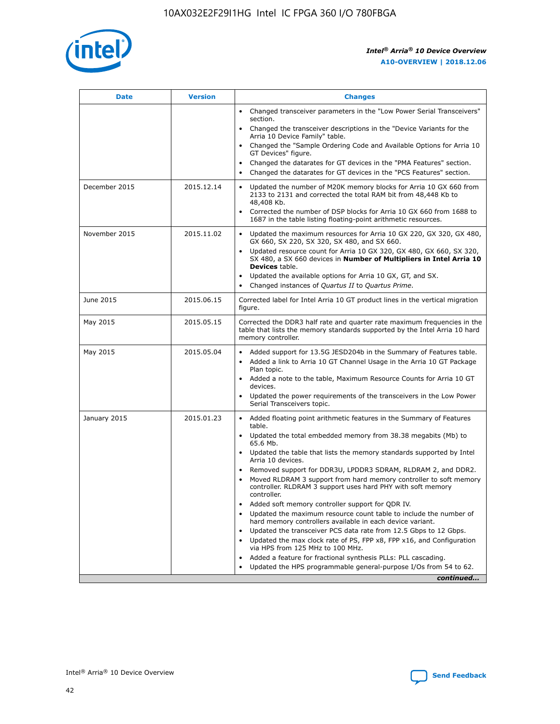

| <b>Date</b>   | <b>Version</b> | <b>Changes</b>                                                                                                                                                               |
|---------------|----------------|------------------------------------------------------------------------------------------------------------------------------------------------------------------------------|
|               |                | • Changed transceiver parameters in the "Low Power Serial Transceivers"<br>section.                                                                                          |
|               |                | • Changed the transceiver descriptions in the "Device Variants for the<br>Arria 10 Device Family" table.                                                                     |
|               |                | Changed the "Sample Ordering Code and Available Options for Arria 10<br>$\bullet$<br>GT Devices" figure.                                                                     |
|               |                | Changed the datarates for GT devices in the "PMA Features" section.                                                                                                          |
|               |                | Changed the datarates for GT devices in the "PCS Features" section.<br>$\bullet$                                                                                             |
| December 2015 | 2015.12.14     | Updated the number of M20K memory blocks for Arria 10 GX 660 from<br>2133 to 2131 and corrected the total RAM bit from 48,448 Kb to<br>48,408 Kb.                            |
|               |                | Corrected the number of DSP blocks for Arria 10 GX 660 from 1688 to<br>1687 in the table listing floating-point arithmetic resources.                                        |
| November 2015 | 2015.11.02     | Updated the maximum resources for Arria 10 GX 220, GX 320, GX 480,<br>$\bullet$<br>GX 660, SX 220, SX 320, SX 480, and SX 660.                                               |
|               |                | • Updated resource count for Arria 10 GX 320, GX 480, GX 660, SX 320,<br>SX 480, a SX 660 devices in Number of Multipliers in Intel Arria 10<br><b>Devices</b> table.        |
|               |                | Updated the available options for Arria 10 GX, GT, and SX.                                                                                                                   |
|               |                | Changed instances of Quartus II to Quartus Prime.<br>$\bullet$                                                                                                               |
| June 2015     | 2015.06.15     | Corrected label for Intel Arria 10 GT product lines in the vertical migration<br>figure.                                                                                     |
| May 2015      | 2015.05.15     | Corrected the DDR3 half rate and quarter rate maximum frequencies in the<br>table that lists the memory standards supported by the Intel Arria 10 hard<br>memory controller. |
| May 2015      | 2015.05.04     | • Added support for 13.5G JESD204b in the Summary of Features table.                                                                                                         |
|               |                | • Added a link to Arria 10 GT Channel Usage in the Arria 10 GT Package<br>Plan topic.                                                                                        |
|               |                | • Added a note to the table, Maximum Resource Counts for Arria 10 GT<br>devices.                                                                                             |
|               |                | • Updated the power requirements of the transceivers in the Low Power<br>Serial Transceivers topic.                                                                          |
| January 2015  | 2015.01.23     | • Added floating point arithmetic features in the Summary of Features<br>table.                                                                                              |
|               |                | • Updated the total embedded memory from 38.38 megabits (Mb) to<br>65.6 Mb.                                                                                                  |
|               |                | • Updated the table that lists the memory standards supported by Intel<br>Arria 10 devices.                                                                                  |
|               |                | Removed support for DDR3U, LPDDR3 SDRAM, RLDRAM 2, and DDR2.                                                                                                                 |
|               |                | Moved RLDRAM 3 support from hard memory controller to soft memory<br>controller. RLDRAM 3 support uses hard PHY with soft memory<br>controller.                              |
|               |                | Added soft memory controller support for QDR IV.<br>٠                                                                                                                        |
|               |                | Updated the maximum resource count table to include the number of<br>hard memory controllers available in each device variant.                                               |
|               |                | Updated the transceiver PCS data rate from 12.5 Gbps to 12 Gbps.<br>$\bullet$                                                                                                |
|               |                | Updated the max clock rate of PS, FPP x8, FPP x16, and Configuration<br>via HPS from 125 MHz to 100 MHz.                                                                     |
|               |                | Added a feature for fractional synthesis PLLs: PLL cascading.                                                                                                                |
|               |                | Updated the HPS programmable general-purpose I/Os from 54 to 62.<br>$\bullet$                                                                                                |
|               |                | continued                                                                                                                                                                    |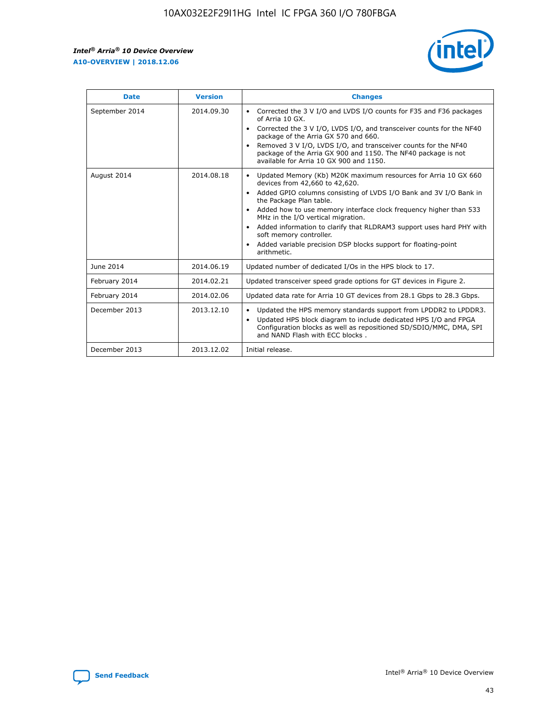r



| <b>Date</b>    | <b>Version</b> | <b>Changes</b>                                                                                                                                                                                                                                                                                                                                                                                                                                                                                                                         |
|----------------|----------------|----------------------------------------------------------------------------------------------------------------------------------------------------------------------------------------------------------------------------------------------------------------------------------------------------------------------------------------------------------------------------------------------------------------------------------------------------------------------------------------------------------------------------------------|
| September 2014 | 2014.09.30     | Corrected the 3 V I/O and LVDS I/O counts for F35 and F36 packages<br>of Arria 10 GX.<br>Corrected the 3 V I/O, LVDS I/O, and transceiver counts for the NF40<br>$\bullet$<br>package of the Arria GX 570 and 660.<br>Removed 3 V I/O, LVDS I/O, and transceiver counts for the NF40<br>package of the Arria GX 900 and 1150. The NF40 package is not<br>available for Arria 10 GX 900 and 1150.                                                                                                                                       |
| August 2014    | 2014.08.18     | Updated Memory (Kb) M20K maximum resources for Arria 10 GX 660<br>devices from 42,660 to 42,620.<br>Added GPIO columns consisting of LVDS I/O Bank and 3V I/O Bank in<br>$\bullet$<br>the Package Plan table.<br>Added how to use memory interface clock frequency higher than 533<br>$\bullet$<br>MHz in the I/O vertical migration.<br>Added information to clarify that RLDRAM3 support uses hard PHY with<br>$\bullet$<br>soft memory controller.<br>Added variable precision DSP blocks support for floating-point<br>arithmetic. |
| June 2014      | 2014.06.19     | Updated number of dedicated I/Os in the HPS block to 17.                                                                                                                                                                                                                                                                                                                                                                                                                                                                               |
| February 2014  | 2014.02.21     | Updated transceiver speed grade options for GT devices in Figure 2.                                                                                                                                                                                                                                                                                                                                                                                                                                                                    |
| February 2014  | 2014.02.06     | Updated data rate for Arria 10 GT devices from 28.1 Gbps to 28.3 Gbps.                                                                                                                                                                                                                                                                                                                                                                                                                                                                 |
| December 2013  | 2013.12.10     | Updated the HPS memory standards support from LPDDR2 to LPDDR3.<br>Updated HPS block diagram to include dedicated HPS I/O and FPGA<br>$\bullet$<br>Configuration blocks as well as repositioned SD/SDIO/MMC, DMA, SPI<br>and NAND Flash with ECC blocks.                                                                                                                                                                                                                                                                               |
| December 2013  | 2013.12.02     | Initial release.                                                                                                                                                                                                                                                                                                                                                                                                                                                                                                                       |